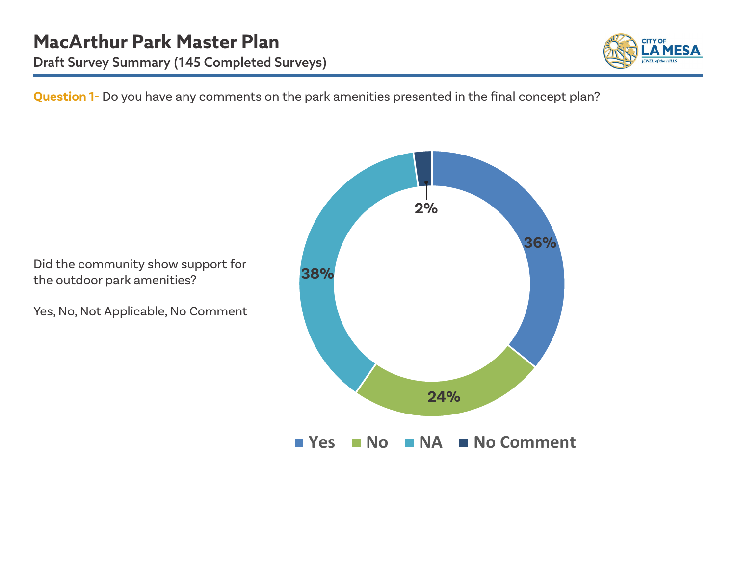

**Question 1-** Do you have any comments on the park amenities presented in the final concept plan?

Did the community show support for the outdoor park amenities?

Yes, No, Not Applicable, No Comment

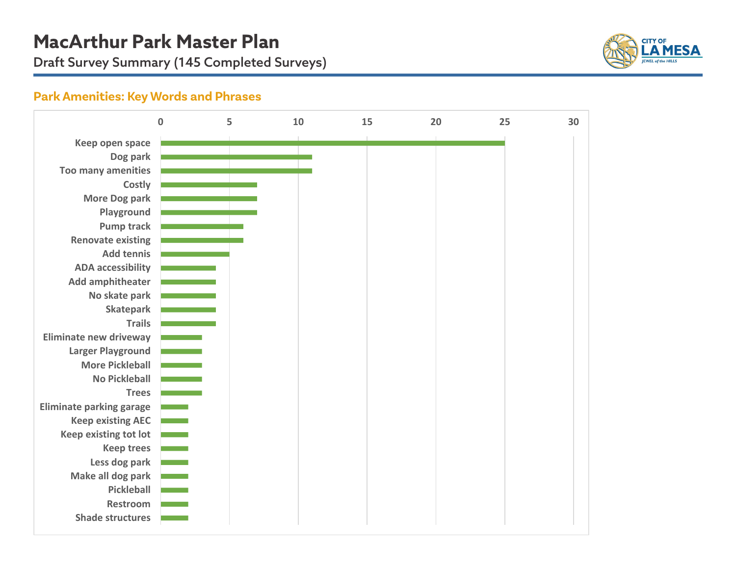Draft Survey Summary (145 Completed Surveys)



### **Park Amenities: Key Words and Phrases**

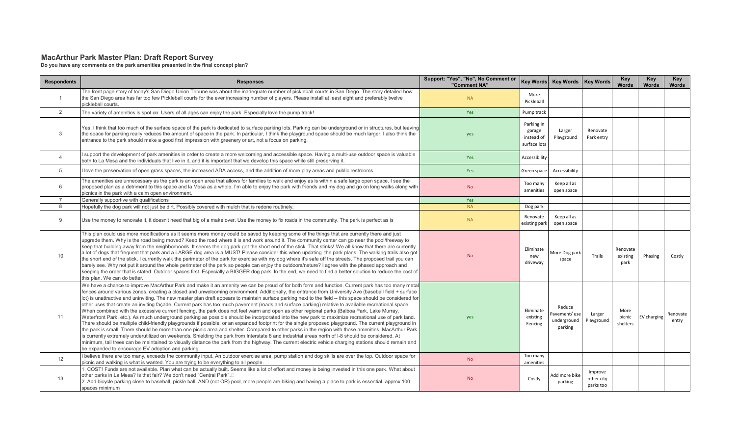#### **MacArthur Park Master Plan: Draft Report Survey**

**Do you have any comments on the park amenities presented in the final concept plan?**

| <b>Respondents</b> | <b>Responses</b>                                                                                                                                                                                                                                                                                                                                                                                                                                                                                                                                                                                                                                                                                                                                                                                                                                                                                                                                                                                                                                                                                                                                                                                                                                                                                                                                                                                                                                                                                                                                                                                                          | Support: "Yes", "No", No Comment or<br>"Comment NA" |                                                    | Key Words Key Words   Key Words                  |                                    | <b>Key</b><br><b>Words</b>   | Key<br><b>Words</b> | Key<br><b>Words</b> |
|--------------------|---------------------------------------------------------------------------------------------------------------------------------------------------------------------------------------------------------------------------------------------------------------------------------------------------------------------------------------------------------------------------------------------------------------------------------------------------------------------------------------------------------------------------------------------------------------------------------------------------------------------------------------------------------------------------------------------------------------------------------------------------------------------------------------------------------------------------------------------------------------------------------------------------------------------------------------------------------------------------------------------------------------------------------------------------------------------------------------------------------------------------------------------------------------------------------------------------------------------------------------------------------------------------------------------------------------------------------------------------------------------------------------------------------------------------------------------------------------------------------------------------------------------------------------------------------------------------------------------------------------------------|-----------------------------------------------------|----------------------------------------------------|--------------------------------------------------|------------------------------------|------------------------------|---------------------|---------------------|
| $\overline{1}$     | The front page story of today's San Diego Union Tribune was about the inadeguate number of pickleball courts in San Diego. The story detailed how<br>the San Diego area has far too few Pickleball courts for the ever increasing number of players. Please install at least eight and preferably twelve<br>pickleball courts.                                                                                                                                                                                                                                                                                                                                                                                                                                                                                                                                                                                                                                                                                                                                                                                                                                                                                                                                                                                                                                                                                                                                                                                                                                                                                            | <b>NA</b>                                           | More<br>Pickleball                                 |                                                  |                                    |                              |                     |                     |
| 2                  | The variety of amenities is spot on. Users of all ages can enjoy the park. Especially love the pump track!                                                                                                                                                                                                                                                                                                                                                                                                                                                                                                                                                                                                                                                                                                                                                                                                                                                                                                                                                                                                                                                                                                                                                                                                                                                                                                                                                                                                                                                                                                                | Yes                                                 | Pump track                                         |                                                  |                                    |                              |                     |                     |
| 3                  | Yes, I think that too much of the surface space of the park is dedicated to surface parking lots. Parking can be underground or in structures, but leaving<br>the space for parking really reduces the amount of space in the park. In particular, I think the playground space should be much larger. I also think the<br>entrance to the park should make a good first impression with greenery or art, not a focus on parking.                                                                                                                                                                                                                                                                                                                                                                                                                                                                                                                                                                                                                                                                                                                                                                                                                                                                                                                                                                                                                                                                                                                                                                                         | yes                                                 | Parking in<br>garage<br>instead of<br>surface lots | Larger<br>Playground                             | Renovate<br>Park entry             |                              |                     |                     |
| $\overline{4}$     | support the development of park amenities in order to create a more welcoming and accessible space. Having a multi-use outdoor space is valuable<br>both to La Mesa and the individuals that live in it, and it is important that we develop this space while still preserving it.                                                                                                                                                                                                                                                                                                                                                                                                                                                                                                                                                                                                                                                                                                                                                                                                                                                                                                                                                                                                                                                                                                                                                                                                                                                                                                                                        | Yes                                                 | Accessibility                                      |                                                  |                                    |                              |                     |                     |
| 5                  | I love the preservation of open grass spaces, the increased ADA access, and the addition of more play areas and public restrooms.                                                                                                                                                                                                                                                                                                                                                                                                                                                                                                                                                                                                                                                                                                                                                                                                                                                                                                                                                                                                                                                                                                                                                                                                                                                                                                                                                                                                                                                                                         | Yes                                                 | Green space                                        | Accessibility                                    |                                    |                              |                     |                     |
| 6                  | The amenities are unnecessary as the park is an open area that allows for families to walk and enjoy as is within a safe large open space. I see the<br>proposed plan as a detriment to this space and la Mesa as a whole. I'm able to enjoy the park with friends and my dog and go on long walks along with<br>picnics in the park with a calm open environment.                                                                                                                                                                                                                                                                                                                                                                                                                                                                                                                                                                                                                                                                                                                                                                                                                                                                                                                                                                                                                                                                                                                                                                                                                                                        | <b>No</b>                                           | Too many<br>amenities                              | Keep all as<br>open space                        |                                    |                              |                     |                     |
| $\overline{7}$     | Generally supportive with qualifications                                                                                                                                                                                                                                                                                                                                                                                                                                                                                                                                                                                                                                                                                                                                                                                                                                                                                                                                                                                                                                                                                                                                                                                                                                                                                                                                                                                                                                                                                                                                                                                  | Yes                                                 |                                                    |                                                  |                                    |                              |                     |                     |
| 8                  | Hopefully the dog park will not just be dirt. Possibly covered with mulch that is redone routinely.                                                                                                                                                                                                                                                                                                                                                                                                                                                                                                                                                                                                                                                                                                                                                                                                                                                                                                                                                                                                                                                                                                                                                                                                                                                                                                                                                                                                                                                                                                                       | <b>NA</b>                                           | Dog park                                           |                                                  |                                    |                              |                     |                     |
| 9                  | Use the money to renovate it, it doesn't need that big of a make over. Use the money to fix roads in the community. The park is perfect as is                                                                                                                                                                                                                                                                                                                                                                                                                                                                                                                                                                                                                                                                                                                                                                                                                                                                                                                                                                                                                                                                                                                                                                                                                                                                                                                                                                                                                                                                             | <b>NA</b>                                           | Renovate<br>existing par                           | Keep all as<br>open space                        |                                    |                              |                     |                     |
| 10                 | This plan could use more modifications as it seems more money could be saved by keeping some of the things that are currently there and just<br>upgrade them. Why is the road being moved? Keep the road where it is and work around it. The community center can go near the pool/freeway to<br>keep that building away from the neighborhoods. It seems the dog park got the short end of the stick. That stinks! We all know that there are currently<br>a lot of dogs that frequent that park and a LARGE dog area is a MUST! Please consider this when updating the park plans. The walking trails also got<br>the short end of the stick. I currently walk the perimeter of the park for exercise with my dog where it's safe off the streets. The proposed trail you can<br>barely see. Why not put it around the whole perimeter of the park so people can enjoy the outdoors/nature? I agree with the phased approach and<br>keeping the order that is stated. Outdoor spaces first. Especially a BIGGER dog park. In the end, we need to find a better solution to reduce the cost of<br>this plan. We can do better.                                                                                                                                                                                                                                                                                                                                                                                                                                                                                           | <b>No</b>                                           | Eliminate<br>new<br>driveway                       | More Dog park<br>space                           | Trails                             | Renovate<br>existing<br>park | Phasing             | Costly              |
| 11                 | We have a chance to improve MacArthur Park and make it an amenity we can be proud of for both form and function. Current park has too many metal<br>fences around various zones, creating a closed and unwelcoming environment. Additionally, the entrance from University Ave (baseball field + surface<br>lot) is unattractive and uninviting. The new master plan draft appears to maintain surface parking next to the field -- this space should be considered for<br>other uses that create an inviting facade. Current park has too much pavement (roads and surface parking) relative to available recreational space.<br>When combined with the excessive current fencing, the park does not feel warm and open as other regional parks (Balboa Park, Lake Murray,<br>Waterfront Park, etc.). As much underground parking as possible should be incorporated into the new park to maximize recreational use of park land.<br>There should be multiple child-friendly playgrounds if possible, or an expanded footprint for the single proposed playground. The current playground in<br>the park is small. There should be more than one picnic area and shelter. Compared to other parks in the region with those amenities, MacArthur Park<br>is currently extremely underutilized on weekends. Shielding the park from Interstate 8 and industrial areas north of I-8 should be considered. At<br>minimum, tall trees can be maintained to visually distance the park from the highway. The current electric vehicle charging stations should remain and<br>be expanded to encourage EV adoption and parking. | yes                                                 | Eliminate<br>existing<br>Fencing                   | Reduce<br>Pavement/use<br>underground<br>parking | Larger<br>Playground               | More<br>picnic<br>shelters   | EV charging         | Renovate<br>entry   |
| 12                 | I believe there are too many, exceeds the community input. An outdoor exercise area, pump station and dog skills are over the top. Outdoor space for<br>picnic and walking is what is wanted. You are trying to be everything to all people.                                                                                                                                                                                                                                                                                                                                                                                                                                                                                                                                                                                                                                                                                                                                                                                                                                                                                                                                                                                                                                                                                                                                                                                                                                                                                                                                                                              | <b>No</b>                                           | Too many<br>amenities                              |                                                  |                                    |                              |                     |                     |
| 13                 | . COST! Funds are not available. Plan what can be actually built. Seems like a lot of effort and money is being invested in this one park. What about<br>other parks in La Mesa? Is that fair? We don't need "Central Park".□<br>2. Add bicycle parking close to baseball, pickle ball, AND (not OR) pool, more people are biking and having a place to park is essential, approx 100<br>spaces minimum                                                                                                                                                                                                                                                                                                                                                                                                                                                                                                                                                                                                                                                                                                                                                                                                                                                                                                                                                                                                                                                                                                                                                                                                                   | <b>No</b>                                           | Costly                                             | Add more bike<br>parking                         | Improve<br>other city<br>parks too |                              |                     |                     |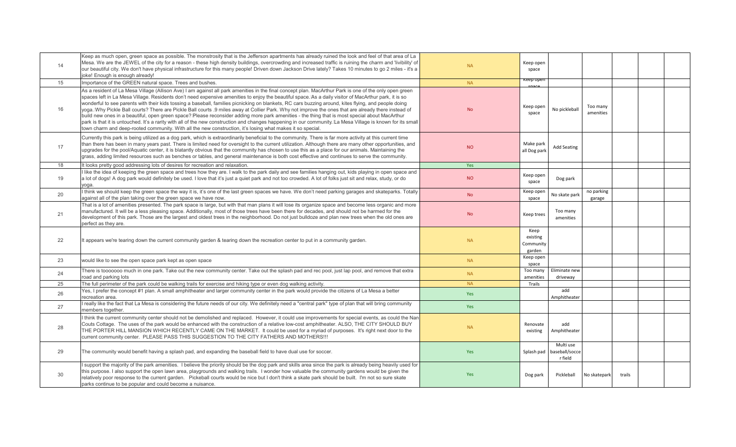| 14 | Keep as much open, green space as possible. The monstrosity that is the Jefferson apartments has already ruined the look and feel of that area of La<br>Mesa. We are the JEWEL of the city for a reason - these high density buildings, overcrowding and increased traffic is ruining the charm and 'livibility' of<br>our beautiful city. We don't have physical infrastructure for this many people! Driven down Jackson Drive lately? Takes 10 minutes to go 2 miles - it's a<br>joke! Enough is enough already!                                                                                                                                                                                                                                                                                                                                                                                                                                                                                                                                            | <b>NA</b>  | Keep open<br>space                      |                                        |                       |        |  |
|----|----------------------------------------------------------------------------------------------------------------------------------------------------------------------------------------------------------------------------------------------------------------------------------------------------------------------------------------------------------------------------------------------------------------------------------------------------------------------------------------------------------------------------------------------------------------------------------------------------------------------------------------------------------------------------------------------------------------------------------------------------------------------------------------------------------------------------------------------------------------------------------------------------------------------------------------------------------------------------------------------------------------------------------------------------------------|------------|-----------------------------------------|----------------------------------------|-----------------------|--------|--|
| 15 | Importance of the GREEN natural space. Trees and bushes.                                                                                                                                                                                                                                                                                                                                                                                                                                                                                                                                                                                                                                                                                                                                                                                                                                                                                                                                                                                                       | <b>NA</b>  | Keep open                               |                                        |                       |        |  |
| 16 | As a resident of La Mesa Village (Allison Ave) I am against all park amenities in the final concept plan. MacArthur Park is one of the only open green<br>spaces left in La Mesa Village. Residents don't need expensive amenities to enjoy the beautiful space. As a daily visitor of MacArthur park, it is so<br>wonderful to see parents with their kids tossing a baseball, families picnicking on blankets, RC cars buzzing around, kites flying, and people doing<br>yoga. Why Pickle Ball courts? There are Pickle Ball courts .9 miles away at Collier Park. Why not improve the ones that are already there instead of<br>build new ones in a beautiful, open green space? Please reconsider adding more park amenities - the thing that is most special about MacArthur<br>park is that it is untouched. It's a rarity with all of the new construction and changes happening in our community. La Mesa Village is known for its small<br>town charm and deep-rooted community. With all the new construction, it's losing what makes it so special. | <b>No</b>  | Keep open<br>space                      | No pickleball                          | Too many<br>amenities |        |  |
| 17 | Currently this park is being utilized as a dog park, which is extraordinarily beneficial to the community. There is far more activity at this current time<br>than there has been in many years past. There is limited need for oversight to the current utilization. Although there are many other opportunities, and<br>upgrades for the pool/Aquatic center, it is blatantly obvious that the community has chosen to use this as a place for our animals. Maintaining the<br>grass, adding limited resources such as benches or tables, and general maintenance is both cost effective and continues to serve the community.                                                                                                                                                                                                                                                                                                                                                                                                                               | <b>NO</b>  | Make park<br>all Dog park               | <b>Add Seating</b>                     |                       |        |  |
| 18 | It looks pretty good addressing lots of desires for recreation and relaxation.                                                                                                                                                                                                                                                                                                                                                                                                                                                                                                                                                                                                                                                                                                                                                                                                                                                                                                                                                                                 | Yes        |                                         |                                        |                       |        |  |
| 19 | I like the idea of keeping the green space and trees how they are. I walk to the park daily and see families hanging out, kids playing in open space and<br>a lot of dogs! A dog park would definitely be used. I love that it's just a quiet park and not too crowded. A lot of folks just sit and relax, study, or do<br>yoga.                                                                                                                                                                                                                                                                                                                                                                                                                                                                                                                                                                                                                                                                                                                               | <b>NO</b>  | Keep open<br>space                      | Dog park                               |                       |        |  |
| 20 | think we should keep the green space the way it is, it's one of the last green spaces we have. We don't need parking garages and skateparks. Totally<br>against all of the plan taking over the green space we have now.                                                                                                                                                                                                                                                                                                                                                                                                                                                                                                                                                                                                                                                                                                                                                                                                                                       | <b>No</b>  | Keep open<br>space                      | No skate park                          | no parking<br>garage  |        |  |
| 21 | That is a lot of amenities presented. The park space is large, but with that man plans it will lose its organize space and become less organic and more<br>manufactured. It will be a less pleasing space. Additionally, most of those trees have been there for decades, and should not be harmed for the<br>development of this park. Those are the largest and oldest trees in the neighborhood. Do not just bulldoze and plan new trees when the old ones are<br>perfect as they are.                                                                                                                                                                                                                                                                                                                                                                                                                                                                                                                                                                      | <b>No</b>  | Keep trees                              | Too many<br>amenities                  |                       |        |  |
| 22 | It appears we're tearing down the current community garden & tearing down the recreation center to put in a community garden.                                                                                                                                                                                                                                                                                                                                                                                                                                                                                                                                                                                                                                                                                                                                                                                                                                                                                                                                  | <b>NA</b>  | Keep<br>existing<br>Community<br>garden |                                        |                       |        |  |
| 23 | would like to see the open space park kept as open space                                                                                                                                                                                                                                                                                                                                                                                                                                                                                                                                                                                                                                                                                                                                                                                                                                                                                                                                                                                                       | <b>NA</b>  | Keep open<br>space                      |                                        |                       |        |  |
| 24 | There is tooooooo much in one park. Take out the new community center. Take out the splash pad and rec pool, just lap pool, and remove that extra<br>road and parking lots                                                                                                                                                                                                                                                                                                                                                                                                                                                                                                                                                                                                                                                                                                                                                                                                                                                                                     | <b>NA</b>  | Too many<br>amenities                   | Eliminate new<br>driveway              |                       |        |  |
| 25 | The full perimeter of the park could be walking trails for exercise and hiking type or even dog walking activity.                                                                                                                                                                                                                                                                                                                                                                                                                                                                                                                                                                                                                                                                                                                                                                                                                                                                                                                                              | <b>NA</b>  | Trails                                  |                                        |                       |        |  |
| 26 | Yes, I prefer the concept #1 plan. A small amphitheater and larger community center in the park would provide the citizens of La Mesa a better<br>recreation area.                                                                                                                                                                                                                                                                                                                                                                                                                                                                                                                                                                                                                                                                                                                                                                                                                                                                                             | <b>Yes</b> |                                         | add<br>Amphitheater                    |                       |        |  |
| 27 | really like the fact that La Mesa is considering the future needs of our city. We definitely need a "central park" type of plan that will bring community<br>members together.                                                                                                                                                                                                                                                                                                                                                                                                                                                                                                                                                                                                                                                                                                                                                                                                                                                                                 | <b>Yes</b> |                                         |                                        |                       |        |  |
| 28 | I think the current community center should not be demolished and replaced. However, it could use improvements for special events, as could the Nan<br>Couts Cottage. The uses of the park would be enhanced with the construction of a relative low-cost amphitheater. ALSO, THE CITY SHOULD BUY<br>THE PORTER HILL MANSION WHICH RECENTLY CAME ON THE MARKET. It could be used for a myriad of purposes. It's right next door to the<br>current community center. PLEASE PASS THIS SUGGESTION TO THE CITY FATHERS AND MOTHERS !!!                                                                                                                                                                                                                                                                                                                                                                                                                                                                                                                            | <b>NA</b>  | Renovate<br>existing                    | add<br>Amphitheater                    |                       |        |  |
| 29 | The community would benefit having a splash pad, and expanding the baseball field to have dual use for soccer.                                                                                                                                                                                                                                                                                                                                                                                                                                                                                                                                                                                                                                                                                                                                                                                                                                                                                                                                                 | Yes        | Splash pad                              | Multi use<br>baseball/socce<br>r field |                       |        |  |
| 30 | I support the majority of the park amenities. I believe the priority should be the dog park and skills area since the park is already being heavily used for<br>this purpose. I also support the open lawn area, playgrounds and walking trails. I wonder how valuable the community gardens would be given the<br>relatively poor response to the current garden. Pickeball courts would be nice but I don't think a skate park should be built. I'm not so sure skate<br>parks continue to be popular and could become a nuisance.                                                                                                                                                                                                                                                                                                                                                                                                                                                                                                                           | <b>Yes</b> | Dog park                                | Pickleball                             | No skatepark          | trails |  |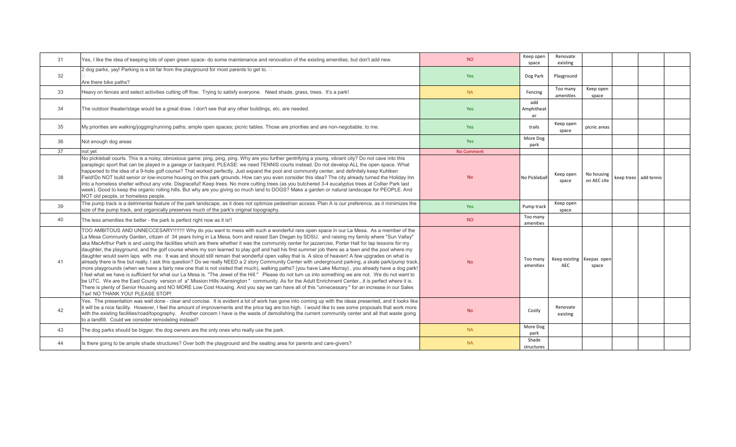| 31 | Yes, I like the idea of keeping lots of open green space- do some maintenance and renovation of the existing amenities, but don't add new.                                                                                                                                                                                                                                                                                                                                                                                                                                                                                                                                                                                                                                                                                                                                                                                                                                                                                                                                                                                                                                                                                                                                                                                                                                                                                                                                                                                                                                    | NO.               | Keep open<br>space      | Renovate<br>existing        |                           |                       |  |
|----|-------------------------------------------------------------------------------------------------------------------------------------------------------------------------------------------------------------------------------------------------------------------------------------------------------------------------------------------------------------------------------------------------------------------------------------------------------------------------------------------------------------------------------------------------------------------------------------------------------------------------------------------------------------------------------------------------------------------------------------------------------------------------------------------------------------------------------------------------------------------------------------------------------------------------------------------------------------------------------------------------------------------------------------------------------------------------------------------------------------------------------------------------------------------------------------------------------------------------------------------------------------------------------------------------------------------------------------------------------------------------------------------------------------------------------------------------------------------------------------------------------------------------------------------------------------------------------|-------------------|-------------------------|-----------------------------|---------------------------|-----------------------|--|
| 32 | 2 dog parks, yay! Parking is a bit far from the playground for most parents to get to. $\square$<br>Are there bike paths?                                                                                                                                                                                                                                                                                                                                                                                                                                                                                                                                                                                                                                                                                                                                                                                                                                                                                                                                                                                                                                                                                                                                                                                                                                                                                                                                                                                                                                                     | Yes               | Dog Park                | Playground                  |                           |                       |  |
| 33 | Heavy on fences and select activities cutting off flow. Trying to satisfy everyone. Need shade, grass, trees. It's a park!                                                                                                                                                                                                                                                                                                                                                                                                                                                                                                                                                                                                                                                                                                                                                                                                                                                                                                                                                                                                                                                                                                                                                                                                                                                                                                                                                                                                                                                    | <b>NA</b>         | Fencing                 | Too many<br>amenities       | Keep open<br>space        |                       |  |
| 34 | The outdoor theater/stage would be a great draw. I don't see that any other buildings, etc. are needed.                                                                                                                                                                                                                                                                                                                                                                                                                                                                                                                                                                                                                                                                                                                                                                                                                                                                                                                                                                                                                                                                                                                                                                                                                                                                                                                                                                                                                                                                       | Yes               | add<br>Amphitheat<br>er |                             |                           |                       |  |
| 35 | My priorities are walking/jogging/running paths; ample open spaces; picnic tables. Those are priorities and are non-negotiable, to me.                                                                                                                                                                                                                                                                                                                                                                                                                                                                                                                                                                                                                                                                                                                                                                                                                                                                                                                                                                                                                                                                                                                                                                                                                                                                                                                                                                                                                                        | Yes               | trails                  | Keep open<br>space          | picnic areas              |                       |  |
| 36 | Not enough dog areas                                                                                                                                                                                                                                                                                                                                                                                                                                                                                                                                                                                                                                                                                                                                                                                                                                                                                                                                                                                                                                                                                                                                                                                                                                                                                                                                                                                                                                                                                                                                                          | <b>Yes</b>        | More Dog<br>park        |                             |                           |                       |  |
| 37 | not yet                                                                                                                                                                                                                                                                                                                                                                                                                                                                                                                                                                                                                                                                                                                                                                                                                                                                                                                                                                                                                                                                                                                                                                                                                                                                                                                                                                                                                                                                                                                                                                       | <b>No Comment</b> |                         |                             |                           |                       |  |
| 38 | No pickleball courts. This is a noisy, obnoxious game: ping, ping, ping. Why are you further gentrifying a young, vibrant city? Do not cave into this<br>paraplegic sport that can be played in a garage or backyard. PLEASE: we need TENNIS courts instead. Do not develop ALL the open space. What<br>happened to the idea of a 9-hole golf course? That worked perfectly. Just expand the pool and community center, and definitely keep Kuhlken<br>Field!Do NOT build senior or low-income housing on this park grounds. How can you even consider this idea? The city already turned the Holiday Inn<br>into a homeless shelter without any vote. Disgraceful! Keep trees. No more cutting trees (as you butchered 3-4 eucalyptus trees at Collier Park last<br>week). Good to keep the organic rolling hills. But why are you giving so much land to DOGS? Make a garden or natural landscape for PEOPLE. And<br>NOT old people, or homeless people.                                                                                                                                                                                                                                                                                                                                                                                                                                                                                                                                                                                                                    | <b>No</b>         | No Pickleball           | Keep open<br>space          | No housing<br>on AEC site | keep trees add tennis |  |
| 39 | The pump track is a detrimental feature of the park landscape, as it does not optimize pedestrian access. Plan A is our preference, as it minimizes the<br>size of the pump track, and organically preserves much of the park's original topography.                                                                                                                                                                                                                                                                                                                                                                                                                                                                                                                                                                                                                                                                                                                                                                                                                                                                                                                                                                                                                                                                                                                                                                                                                                                                                                                          | Yes               | Pump track              | Keep open<br>space          |                           |                       |  |
| 40 | The less amenities the better - the park is perfect right now as it is!!                                                                                                                                                                                                                                                                                                                                                                                                                                                                                                                                                                                                                                                                                                                                                                                                                                                                                                                                                                                                                                                                                                                                                                                                                                                                                                                                                                                                                                                                                                      | <b>NO</b>         | Too many<br>amenities   |                             |                           |                       |  |
| 41 | TOO AMBITOUS AND UNNECCESARY!!!!!!! Why do you want to mess with such a wonderful rare open space in our La Mesa. As a member of the<br>La Mesa Community Garden, citizen of 34 years living in La Mesa, born and raised San Diegan by SDSU, and raising my family where "Sun Valley"<br>aka MacArthur Park is and using the facilities which are there whether it was the community center for jazzercise, Porter Hall for tap lessons for my<br>daughter, the playground, and the golf course where my son learned to play golf and had his first summer job there as a teen and the pool where my<br>daughter would swim laps with me. It was and should still remain that wonderful open valley that is. A slice of heaven! A few upgrades on what is<br>already there is fine but really, I ask this question? Do we really NEED a 2 story Community Center with underground parking, a skate park/pump track,<br>more playgrounds (when we have a fairly new one that is not visited that much), walking paths? (you have Lake Murray), you already have a dog park!<br>I feel what we have is sufficient for what our La Mesa is. "The Jewel of the Hill." Please do not turn us into something we are not. We do not want to<br>be UTC. We are the East County version of a" Mission Hills /Kensington " community. As for the Adult Enrichment Centerit is perfect where it is.<br>There is plenty of Senior Housing and NO MORE Low Cost Housing. And you say we can have all of this "unnecessary" for an increase in our Sales<br>Tax! NO THANK YOU! PLEASE STOP! | <b>No</b>         | Too many<br>amenities   | Keep existing<br><b>AEC</b> | Keepas open<br>space      |                       |  |
| 42 | Yes. The presentation was well done - clear and concise. It is evident a lot of work has gone into coming up with the ideas presented, and it looks like<br>it will be a nice facility. However, I feel the amount of improvements and the price tag are too high. I would like to see some proposals that work more<br>with the existing facilities/road/topography. Another concern I have is the waste of demolishing the current community center and all that waste going<br>to a landfill. Could we consider remodeling instead?                                                                                                                                                                                                                                                                                                                                                                                                                                                                                                                                                                                                                                                                                                                                                                                                                                                                                                                                                                                                                                        | <b>No</b>         | Costly                  | Renovate<br>existing        |                           |                       |  |
| 43 | The dog parks should be bigger, the dog owners are the only ones who really use the park.                                                                                                                                                                                                                                                                                                                                                                                                                                                                                                                                                                                                                                                                                                                                                                                                                                                                                                                                                                                                                                                                                                                                                                                                                                                                                                                                                                                                                                                                                     | <b>NA</b>         | More Dog<br>park        |                             |                           |                       |  |
| 44 | Is there going to be ample shade structures? Over both the playground and the seating area for parents and care-givers?                                                                                                                                                                                                                                                                                                                                                                                                                                                                                                                                                                                                                                                                                                                                                                                                                                                                                                                                                                                                                                                                                                                                                                                                                                                                                                                                                                                                                                                       | <b>NA</b>         | Shade<br>structures     |                             |                           |                       |  |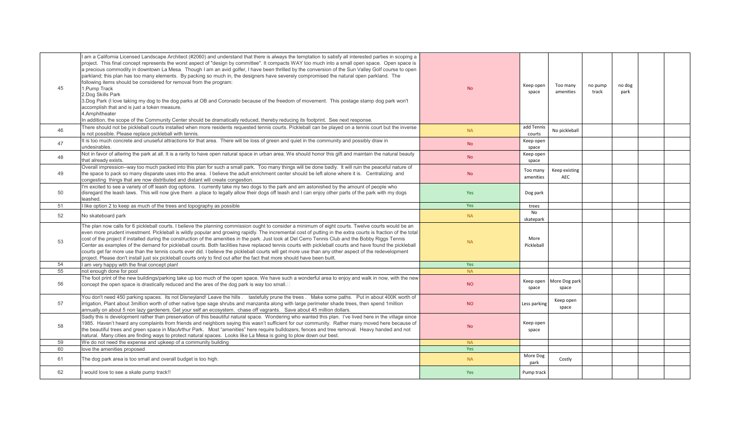| 45 | am a California Licensed Landscape Architect (#2060) and understand that there is always the temptation to satisfy all interested parties in scoping a<br>project. This final concept represents the worst aspect of "design by committee". It compacts WAY too much into a small open space. Open space is<br>a precious commodity in downtown La Mesa. Though I am an avid golfer, I have been thrilled by the conversion of the Sun Valley Golf course to open<br>parkland; this plan has too many elements. By packing so much in, the designers have severely compromised the natural open parkland. The<br>following items should be considered for removal from the program:<br>1. Pump Track<br>2.Dog Skills Park<br>3.Dog Park (I love taking my dog to the dog parks at OB and Coronado because of the freedom of movement. This postage stamp dog park won't<br>accomplish that and is just a token measure.<br>4. Amphitheater<br>In addition, the scope of the Community Center should be dramatically reduced, thereby reducing its footprint. See next response | <b>No</b> | Keep open<br>space     | Too many<br>amenities            | no pump<br>track | no dog<br>park |  |
|----|--------------------------------------------------------------------------------------------------------------------------------------------------------------------------------------------------------------------------------------------------------------------------------------------------------------------------------------------------------------------------------------------------------------------------------------------------------------------------------------------------------------------------------------------------------------------------------------------------------------------------------------------------------------------------------------------------------------------------------------------------------------------------------------------------------------------------------------------------------------------------------------------------------------------------------------------------------------------------------------------------------------------------------------------------------------------------------|-----------|------------------------|----------------------------------|------------------|----------------|--|
| 46 | There should not be pickleball courts installed when more residents requested tennis courts. Pickleball can be played on a tennis court but the inverse<br>is not possible. Please replace pickleball with tennis.                                                                                                                                                                                                                                                                                                                                                                                                                                                                                                                                                                                                                                                                                                                                                                                                                                                             | <b>NA</b> | add Tennis<br>courts   | No pickleball                    |                  |                |  |
| 47 | It is too much concrete and unuseful attractions for that area. There will be loss of green and quiet in the community and possibly draw in<br>undesirables.                                                                                                                                                                                                                                                                                                                                                                                                                                                                                                                                                                                                                                                                                                                                                                                                                                                                                                                   | <b>No</b> | Keep open<br>space     |                                  |                  |                |  |
| 48 | Not in favor of altering the park at all. It is a rarity to have open natural space in urban area. We should honor this gift and maintain the natural beauty<br>that already exists.                                                                                                                                                                                                                                                                                                                                                                                                                                                                                                                                                                                                                                                                                                                                                                                                                                                                                           | <b>No</b> | Keep open<br>space     |                                  |                  |                |  |
| 49 | Overall impression--way too much packed into this plan for such a small park. Too many things will be done badly. It will ruin the peaceful nature of<br>the space to pack so many disparate uses into the area. I believe the adult enrichment center should be left alone where it is. Centralizing and<br>congesting things that are now distributed and distant will create congestion.                                                                                                                                                                                                                                                                                                                                                                                                                                                                                                                                                                                                                                                                                    | <b>No</b> | Too many<br>amenities  | Keep existing<br>AEC             |                  |                |  |
| 50 | I'm excited to see a variety of off leash dog options. I currently take my two dogs to the park and am astonished by the amount of people who<br>disregard the leash laws. This will now give them a place to legally allow their dogs off leash and I can enjoy other parts of the park with my dogs<br>leashed.                                                                                                                                                                                                                                                                                                                                                                                                                                                                                                                                                                                                                                                                                                                                                              | Yes       | Dog park               |                                  |                  |                |  |
| 51 | like option 2 to keep as much of the trees and topography as possible                                                                                                                                                                                                                                                                                                                                                                                                                                                                                                                                                                                                                                                                                                                                                                                                                                                                                                                                                                                                          | Yes       | trees                  |                                  |                  |                |  |
| 52 | No skateboard park                                                                                                                                                                                                                                                                                                                                                                                                                                                                                                                                                                                                                                                                                                                                                                                                                                                                                                                                                                                                                                                             | <b>NA</b> | <b>No</b><br>skatepark |                                  |                  |                |  |
| 53 | The plan now calls for 6 pickleball courts. I believe the planning commission ought to consider a minimum of eight courts. Twelve courts would be an<br>even more prudent investment. Pickleball is wildly popular and growing rapidly. The incremental cost of putting in the extra courts is fraction of the total<br>cost of the project if installed during the construction of the amenities in the park. Just look at Del Cerro Tennis Club and the Bobby Riggs Tennis<br>Center as examples of the demand for pickleball courts. Both facilities have replaced tennis courts with pickleball courts and have found the pickleball<br>courts get far more use than the tennis courts ever did. I believe the pickleball courts will get more use than any other aspect of the redevelopment<br>project. Please don't install just six pickleball courts only to find out after the fact that more should have been built.                                                                                                                                                | <b>NA</b> | More<br>Pickleball     |                                  |                  |                |  |
| 54 | am very happy with the final concept plan!                                                                                                                                                                                                                                                                                                                                                                                                                                                                                                                                                                                                                                                                                                                                                                                                                                                                                                                                                                                                                                     | Yes       |                        |                                  |                  |                |  |
| 55 | not enough done for pool                                                                                                                                                                                                                                                                                                                                                                                                                                                                                                                                                                                                                                                                                                                                                                                                                                                                                                                                                                                                                                                       | <b>NA</b> |                        |                                  |                  |                |  |
| 56 | The foot print of the new buildings/parking take up too much of the open space. We have such a wonderful area to enjoy and walk in now, with the new<br>concept the open space is drastically reduced and the ares of the dog park is way too small.□                                                                                                                                                                                                                                                                                                                                                                                                                                                                                                                                                                                                                                                                                                                                                                                                                          | <b>NO</b> | space                  | Keep open More Dog park<br>space |                  |                |  |
| 57 | You don't need 450 parking spaces. Its not Disneyland! Leave the hills. tastefully prune the trees. Make some paths. Put in about 400K worth of<br>irrigation, Plant about 3million worth of other native type sage shrubs and manzanita along with large perimeter shade trees, then spend 1million<br>annually on about 5 non lazy gardeners. Get your self an ecosystem. chase off vagrants. Save about 45 million dollars.                                                                                                                                                                                                                                                                                                                                                                                                                                                                                                                                                                                                                                                 | <b>NO</b> | Less parking           | Keep open<br>space               |                  |                |  |
| 58 | Sadly this is development rather than preservation of this beautiful natural space. Wondering who wanted this plan. I've lived here in the village since<br>1985. Haven't heard any complaints from friends and neighbors saying this wasn't sufficient for our community. Rather many moved here because of<br>the beautiful trees and green space in MacArthur Park. Most "amenities" here require bulldozers, fences and tree removal. Heavy handed and not<br>natural. Many cities are finding ways to protect natural spaces. Looks like La Mesa is going to plow down our best.                                                                                                                                                                                                                                                                                                                                                                                                                                                                                          | <b>No</b> | Keep oper<br>space     |                                  |                  |                |  |
| 59 | We do not need the expense and upkeep of a community building                                                                                                                                                                                                                                                                                                                                                                                                                                                                                                                                                                                                                                                                                                                                                                                                                                                                                                                                                                                                                  | <b>NA</b> |                        |                                  |                  |                |  |
| 60 | love the amenities proposed                                                                                                                                                                                                                                                                                                                                                                                                                                                                                                                                                                                                                                                                                                                                                                                                                                                                                                                                                                                                                                                    | Yes       |                        |                                  |                  |                |  |
| 61 | The dog park area is too small and overall budget is too high.                                                                                                                                                                                                                                                                                                                                                                                                                                                                                                                                                                                                                                                                                                                                                                                                                                                                                                                                                                                                                 | <b>NA</b> | More Dog<br>park       | Costly                           |                  |                |  |
| 62 | would love to see a skate pump track!!                                                                                                                                                                                                                                                                                                                                                                                                                                                                                                                                                                                                                                                                                                                                                                                                                                                                                                                                                                                                                                         | Yes       | Pump track             |                                  |                  |                |  |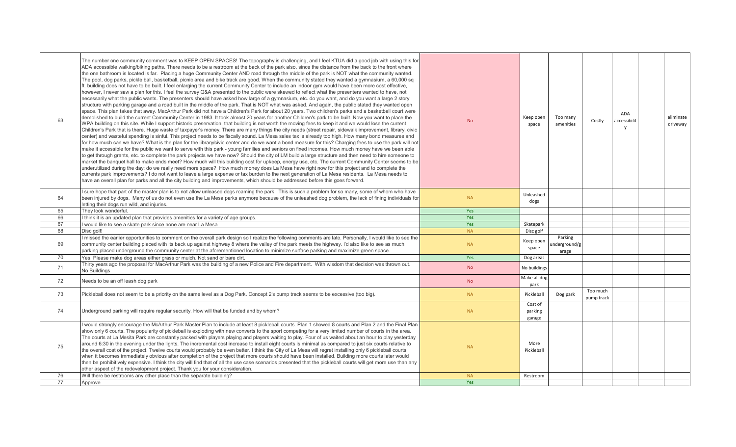| 63 | The number one community comment was to KEEP OPEN SPACES! The topography is challenging, and I feel KTUA did a good job with using this for<br>ADA accessible walking/biking paths. There needs to be a restroom at the back of the park also, since the distance from the back to the front where<br>the one bathroom is located is far. Placing a huge Community Center AND road through the middle of the park is NOT what the community wanted.<br>The pool, dog parks, pickle ball, basketball, picnic area and bike track are good. When the community stated they wanted a gymnasium, a 60,000 sg<br>ft. building does not have to be built. I feel enlarging the current Community Center to include an indoor gym would have been more cost effective,<br>however, I never saw a plan for this. I feel the survey Q&A presented to the public were skewed to reflect what the presenters wanted to have, not<br>necessarily what the public wants. The presenters should have asked how large of a gymnasium, etc. do you want, and do you want a large 2 story<br>structure with parking garage and a road built in the middle of the park. That is NOT what was asked. And again, the public stated they wanted open<br>space. This plan takes that away. MacArthur Park did not have a Children's Park for about 20 years. Two children's parks and a basketball court were<br>demolished to build the current Community Center in 1983. It took almost 20 years for another Children's park to be built. Now you want to place the<br>WPA building on this site. While I support historic preservation, that building is not worth the moving fees to keep it and we would lose the current<br>Children's Park that is there. Huge waste of taxpayer's money. There are many things the city needs (street repair, sidewalk improvement, library, civic<br>center) and wasteful spending is sinful. This project needs to be fiscally sound. La Mesa sales tax is already too high. How many bond measures and<br>for how much can we have? What is the plan for the library/civic center and do we want a bond measure for this? Charging fees to use the park will not<br>make it accessible for the public we want to serve with this park - young families and seniors on fixed incomes. How much money have we been able<br>to get through grants, etc. to complete the park projects we have now? Should the city of LM build a large structure and then need to hire someone to<br>market the banquet hall to make ends meet? How much will this building cost for upkeep, energy use, etc. The current Community Center seems to be<br>underutilized during the day; do we really need more space? How much money does La Mesa have right now for this project and to complete the<br>currents park improvements? I do not want to leave a large expense or tax burden to the next generation of La Mesa residents. La Mesa needs to<br>have an overall plan for parks and all the city building and improvements, which should be addressed before this goes forward. | <b>No</b> | Keep open<br>space           | Too many<br>amenities             | Costly                 | ADA<br>accessibilit<br>$\mathsf{v}$ | eliminate<br>driveway |
|----|---------------------------------------------------------------------------------------------------------------------------------------------------------------------------------------------------------------------------------------------------------------------------------------------------------------------------------------------------------------------------------------------------------------------------------------------------------------------------------------------------------------------------------------------------------------------------------------------------------------------------------------------------------------------------------------------------------------------------------------------------------------------------------------------------------------------------------------------------------------------------------------------------------------------------------------------------------------------------------------------------------------------------------------------------------------------------------------------------------------------------------------------------------------------------------------------------------------------------------------------------------------------------------------------------------------------------------------------------------------------------------------------------------------------------------------------------------------------------------------------------------------------------------------------------------------------------------------------------------------------------------------------------------------------------------------------------------------------------------------------------------------------------------------------------------------------------------------------------------------------------------------------------------------------------------------------------------------------------------------------------------------------------------------------------------------------------------------------------------------------------------------------------------------------------------------------------------------------------------------------------------------------------------------------------------------------------------------------------------------------------------------------------------------------------------------------------------------------------------------------------------------------------------------------------------------------------------------------------------------------------------------------------------------------------------------------------------------------------------------------------------------------------------------------------------------------------------------------------------------------------------------------------------------------------------------------------------------------------------------------------------------------------------------------------------------------------------------------|-----------|------------------------------|-----------------------------------|------------------------|-------------------------------------|-----------------------|
| 64 | sure hope that part of the master plan is to not allow unleased dogs roaming the park. This is such a problem for so many, some of whom who have<br>been injured by dogs. Many of us do not even use the La Mesa parks anymore because of the unleashed dog problem, the lack of fining individuals for<br>letting their dogs run wild, and injuries.                                                                                                                                                                                                                                                                                                                                                                                                                                                                                                                                                                                                                                                                                                                                                                                                                                                                                                                                                                                                                                                                                                                                                                                                                                                                                                                                                                                                                                                                                                                                                                                                                                                                                                                                                                                                                                                                                                                                                                                                                                                                                                                                                                                                                                                                                                                                                                                                                                                                                                                                                                                                                                                                                                                                       | <b>NA</b> | Unleashed<br>dogs            |                                   |                        |                                     |                       |
| 65 | They look wonderful.                                                                                                                                                                                                                                                                                                                                                                                                                                                                                                                                                                                                                                                                                                                                                                                                                                                                                                                                                                                                                                                                                                                                                                                                                                                                                                                                                                                                                                                                                                                                                                                                                                                                                                                                                                                                                                                                                                                                                                                                                                                                                                                                                                                                                                                                                                                                                                                                                                                                                                                                                                                                                                                                                                                                                                                                                                                                                                                                                                                                                                                                        | Yes       |                              |                                   |                        |                                     |                       |
| 66 | think it is an updated plan that provides amenities for a variety of age groups.                                                                                                                                                                                                                                                                                                                                                                                                                                                                                                                                                                                                                                                                                                                                                                                                                                                                                                                                                                                                                                                                                                                                                                                                                                                                                                                                                                                                                                                                                                                                                                                                                                                                                                                                                                                                                                                                                                                                                                                                                                                                                                                                                                                                                                                                                                                                                                                                                                                                                                                                                                                                                                                                                                                                                                                                                                                                                                                                                                                                            | Yes       |                              |                                   |                        |                                     |                       |
| 67 | would like to see a skate park since none are near La Mesa                                                                                                                                                                                                                                                                                                                                                                                                                                                                                                                                                                                                                                                                                                                                                                                                                                                                                                                                                                                                                                                                                                                                                                                                                                                                                                                                                                                                                                                                                                                                                                                                                                                                                                                                                                                                                                                                                                                                                                                                                                                                                                                                                                                                                                                                                                                                                                                                                                                                                                                                                                                                                                                                                                                                                                                                                                                                                                                                                                                                                                  | Yes       | Skatepark                    |                                   |                        |                                     |                       |
| 68 | Disc golf!                                                                                                                                                                                                                                                                                                                                                                                                                                                                                                                                                                                                                                                                                                                                                                                                                                                                                                                                                                                                                                                                                                                                                                                                                                                                                                                                                                                                                                                                                                                                                                                                                                                                                                                                                                                                                                                                                                                                                                                                                                                                                                                                                                                                                                                                                                                                                                                                                                                                                                                                                                                                                                                                                                                                                                                                                                                                                                                                                                                                                                                                                  | <b>NA</b> | Disc golf                    |                                   |                        |                                     |                       |
| 69 | I missed the earlier opportunities to comment on the overall park design so I realize the following comments are late. Personally, I would like to see the<br>community center building placed with its back up against highway 8 where the valley of the park meets the highway. I'd also like to see as much<br>parking placed underground the community center at the aforementioned location to minimize surface parking and maximize green space.                                                                                                                                                                                                                                                                                                                                                                                                                                                                                                                                                                                                                                                                                                                                                                                                                                                                                                                                                                                                                                                                                                                                                                                                                                                                                                                                                                                                                                                                                                                                                                                                                                                                                                                                                                                                                                                                                                                                                                                                                                                                                                                                                                                                                                                                                                                                                                                                                                                                                                                                                                                                                                      | <b>NA</b> | Keep open<br>space           | Parking<br>underground/g<br>arage |                        |                                     |                       |
| 70 | Yes. Please make dog areas either grass or mulch. Not sand or bare dirt.                                                                                                                                                                                                                                                                                                                                                                                                                                                                                                                                                                                                                                                                                                                                                                                                                                                                                                                                                                                                                                                                                                                                                                                                                                                                                                                                                                                                                                                                                                                                                                                                                                                                                                                                                                                                                                                                                                                                                                                                                                                                                                                                                                                                                                                                                                                                                                                                                                                                                                                                                                                                                                                                                                                                                                                                                                                                                                                                                                                                                    | Yes       | Dog areas                    |                                   |                        |                                     |                       |
| 71 | Thirty years ago the proposal for MacArthur Park was the building of a new Police and Fire department. With wisdom that decision was thrown out.<br>No Buildings                                                                                                                                                                                                                                                                                                                                                                                                                                                                                                                                                                                                                                                                                                                                                                                                                                                                                                                                                                                                                                                                                                                                                                                                                                                                                                                                                                                                                                                                                                                                                                                                                                                                                                                                                                                                                                                                                                                                                                                                                                                                                                                                                                                                                                                                                                                                                                                                                                                                                                                                                                                                                                                                                                                                                                                                                                                                                                                            | <b>No</b> | No buildings                 |                                   |                        |                                     |                       |
| 72 | Needs to be an off leash dog park                                                                                                                                                                                                                                                                                                                                                                                                                                                                                                                                                                                                                                                                                                                                                                                                                                                                                                                                                                                                                                                                                                                                                                                                                                                                                                                                                                                                                                                                                                                                                                                                                                                                                                                                                                                                                                                                                                                                                                                                                                                                                                                                                                                                                                                                                                                                                                                                                                                                                                                                                                                                                                                                                                                                                                                                                                                                                                                                                                                                                                                           | <b>No</b> | Make all dog<br>park         |                                   |                        |                                     |                       |
| 73 | Pickleball does not seem to be a priority on the same level as a Dog Park. Concept 2's pump track seems to be excessive (too big).                                                                                                                                                                                                                                                                                                                                                                                                                                                                                                                                                                                                                                                                                                                                                                                                                                                                                                                                                                                                                                                                                                                                                                                                                                                                                                                                                                                                                                                                                                                                                                                                                                                                                                                                                                                                                                                                                                                                                                                                                                                                                                                                                                                                                                                                                                                                                                                                                                                                                                                                                                                                                                                                                                                                                                                                                                                                                                                                                          | <b>NA</b> | Pickleball                   | Dog park                          | Too much<br>pump track |                                     |                       |
| 74 | Underground parking will require regular security. How will that be funded and by whom?                                                                                                                                                                                                                                                                                                                                                                                                                                                                                                                                                                                                                                                                                                                                                                                                                                                                                                                                                                                                                                                                                                                                                                                                                                                                                                                                                                                                                                                                                                                                                                                                                                                                                                                                                                                                                                                                                                                                                                                                                                                                                                                                                                                                                                                                                                                                                                                                                                                                                                                                                                                                                                                                                                                                                                                                                                                                                                                                                                                                     | <b>NA</b> | Cost of<br>parking<br>garage |                                   |                        |                                     |                       |
| 75 | would strongly encourage the McArthur Park Master Plan to include at least 8 pickleball courts. Plan 1 showed 8 courts and Plan 2 and the Final Plan<br>show only 6 courts. The popularity of pickleball is exploding with new converts to the sport competing for a very limited number of courts in the area.<br>The courts at La Mesita Park are constantly packed with players playing and players waiting to play. Four of us waited about an hour to play yesterday<br>around 6:30 in the evening under the lights. The incremental cost increase to install eight courts is minimal as compared to just six courts relative to<br>the overall cost of the project. Twelve courts would probably be even better. I think the City of La Mesa will regret installing only 6 pickleball courts<br>when it becomes immediately obvious after completion of the project that more courts should have been installed. Building more courts later would<br>then be prohibitively expensive. I think the city will find that of all the use case scenarios presented that the pickleball courts will get more use than any<br>other aspect of the redevelopment project. Thank you for your consideration.                                                                                                                                                                                                                                                                                                                                                                                                                                                                                                                                                                                                                                                                                                                                                                                                                                                                                                                                                                                                                                                                                                                                                                                                                                                                                                                                                                                                                                                                                                                                                                                                                                                                                                                                                                                                                                                                                   | <b>NA</b> | More<br>Pickleball           |                                   |                        |                                     |                       |
| 76 | Will there be restrooms any other place than the separate building?                                                                                                                                                                                                                                                                                                                                                                                                                                                                                                                                                                                                                                                                                                                                                                                                                                                                                                                                                                                                                                                                                                                                                                                                                                                                                                                                                                                                                                                                                                                                                                                                                                                                                                                                                                                                                                                                                                                                                                                                                                                                                                                                                                                                                                                                                                                                                                                                                                                                                                                                                                                                                                                                                                                                                                                                                                                                                                                                                                                                                         | <b>NA</b> | Restroom                     |                                   |                        |                                     |                       |
| 77 | Approve                                                                                                                                                                                                                                                                                                                                                                                                                                                                                                                                                                                                                                                                                                                                                                                                                                                                                                                                                                                                                                                                                                                                                                                                                                                                                                                                                                                                                                                                                                                                                                                                                                                                                                                                                                                                                                                                                                                                                                                                                                                                                                                                                                                                                                                                                                                                                                                                                                                                                                                                                                                                                                                                                                                                                                                                                                                                                                                                                                                                                                                                                     | Yes       |                              |                                   |                        |                                     |                       |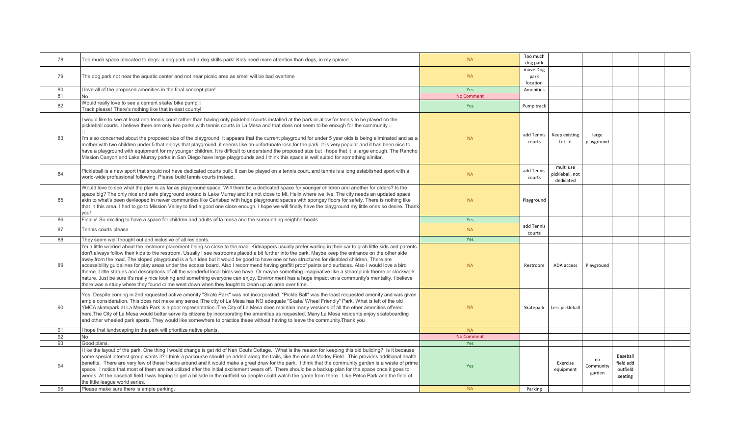| 78 | Too much space allocated to dogs: a dog park and a dog skills park! Kids need more attention than dogs, in my opinion.                                                                                                                                                                                                                                                                                                                                                                                                                                                                                                                                                                                                                                                                                                                                                                                                                                                                                                                          | <b>NA</b>  | Too much<br>dog park         |                                           |                           |                                              |  |
|----|-------------------------------------------------------------------------------------------------------------------------------------------------------------------------------------------------------------------------------------------------------------------------------------------------------------------------------------------------------------------------------------------------------------------------------------------------------------------------------------------------------------------------------------------------------------------------------------------------------------------------------------------------------------------------------------------------------------------------------------------------------------------------------------------------------------------------------------------------------------------------------------------------------------------------------------------------------------------------------------------------------------------------------------------------|------------|------------------------------|-------------------------------------------|---------------------------|----------------------------------------------|--|
| 79 | The dog park not near the aquatic center and not near picnic area as smell will be bad overtime                                                                                                                                                                                                                                                                                                                                                                                                                                                                                                                                                                                                                                                                                                                                                                                                                                                                                                                                                 | <b>NA</b>  | move Dog<br>park<br>location |                                           |                           |                                              |  |
| 80 | love all of the proposed amenities in the final concept plan!                                                                                                                                                                                                                                                                                                                                                                                                                                                                                                                                                                                                                                                                                                                                                                                                                                                                                                                                                                                   | Yes        | Amenities                    |                                           |                           |                                              |  |
| 81 | No.                                                                                                                                                                                                                                                                                                                                                                                                                                                                                                                                                                                                                                                                                                                                                                                                                                                                                                                                                                                                                                             | No Comment |                              |                                           |                           |                                              |  |
| 82 | Would really love to see a cement skate/ bike pump $\Box$<br>Track please! There's nothing like that in east county!                                                                                                                                                                                                                                                                                                                                                                                                                                                                                                                                                                                                                                                                                                                                                                                                                                                                                                                            | Yes        | Pump track                   |                                           |                           |                                              |  |
| 83 | would like to see at least one tennis court rather than having only pickleball courts installed at the park or allow for tennis to be played on the<br>pickleball courts. I believe there are only two parks with tennis courts in La Mesa and that does not seem to be enough for the community.□<br>I'm also concerned about the proposed size of the playground. It appears that the current playground for under 5 year olds is being eliminated and as a<br>mother with two children under 5 that enjoys that playground, it seems like an unfortunate loss for the park. It is very popular and it has been nice to<br>have a playground with equipment for my younger children. It is difficult to understand the proposed size but I hope that it is large enough. The Rancho<br>Mission Canyon and Lake Murray parks in San Diego have large playgrounds and I think this space is well suited for something similar.                                                                                                                  | <b>NA</b>  | add Tennis<br>courts         | Keep existing<br>tot lot                  | large<br>playground       |                                              |  |
| 84 | Pickleball is a new sport that should not have dedicated courts built. It can be played on a tennis court, and tennis is a long established sport with a<br>world-wide professional following. Please build tennis courts instead.                                                                                                                                                                                                                                                                                                                                                                                                                                                                                                                                                                                                                                                                                                                                                                                                              | <b>NA</b>  | add Tennis<br>courts         | multi use<br>pickleball, not<br>dedicated |                           |                                              |  |
| 85 | Would love to see what the plan is as far as playground space. Will there be a dedicated space for younger children and another for olders? Is the<br>space big? The only nice and safe playground around is Lake Murray and it's not close to Mt. Helix where we live. The city needs an updated space<br>akin to what's been devleoped in newer communties like Carlsbad with huge playground spaces with spongey floors for safety. There is nothing like<br>that in this area. I had to go to Mission Valley to find a good one close enough. I hope we will finally have the playground my little ones so desire. Thank<br>you!                                                                                                                                                                                                                                                                                                                                                                                                            | <b>NA</b>  | Playground                   |                                           |                           |                                              |  |
| 86 | Finally! So exciting to have a space for children and adults of la mesa and the surrounding neighborhoods.                                                                                                                                                                                                                                                                                                                                                                                                                                                                                                                                                                                                                                                                                                                                                                                                                                                                                                                                      | Yes        |                              |                                           |                           |                                              |  |
| 87 | Tennis courts please                                                                                                                                                                                                                                                                                                                                                                                                                                                                                                                                                                                                                                                                                                                                                                                                                                                                                                                                                                                                                            | <b>NA</b>  | add Tennis<br>courts         |                                           |                           |                                              |  |
| 88 | They seem well thought out and inclusive of all residents.                                                                                                                                                                                                                                                                                                                                                                                                                                                                                                                                                                                                                                                                                                                                                                                                                                                                                                                                                                                      | Yes        |                              |                                           |                           |                                              |  |
| 89 | I'm a little worried about the restroom placement being so close to the road. Kidnappers usually prefer waiting in their car to grab little kids and parents<br>don't always follow their kids to the restroom. Usually I see restrooms placed a bit further into the park. Maybe keep the entrance on the other side<br>away from the road. The sloped playground is a fun idea but it would be good to have one or two structures for disabled children. There are<br>accessibility guidelines for play areas under the access board. Also I recommend having graffiti proof paints and surfaces. Also I would love a bird<br>theme. Little statues and descriptions of all the wonderful local birds we have. Or maybe something imaginative like a steampunk theme or clockwork<br>nature. Just be sure it's really nice looking and something everyone can enjoy. Environment has a huge impact on a community's mentality. I believe<br>here was a study where they found crime went down when they fought to clean up an area over time. | <b>NA</b>  | Restroom                     | ADA access                                | Playground                |                                              |  |
| 90 | Yes; Despite coming in 2nd requested active amenity "Skate Park" was not incorporated. "Pickle Ball" was the least requested amenity and was given<br>ample consideration. This does not make any sense.⊡he city of La Mesa has NO adequate "Skate/ Wheel Friendly" Park. What is left of the old<br>YMCA skatepark at La Mesita Park is a poor representation. The City of La Mesa does maintain many versions of all the other amenities offered<br>here.The City of La Mesa would better serve its citizens by incorporating the amenities as requested. Many La Mesa residents enjoy skateboarding<br>and other wheeled park sports. They would like somewhere to practice these without having to leave the community.Thank you                                                                                                                                                                                                                                                                                                            | <b>NA</b>  |                              | Skatepark Less pickleball                 |                           |                                              |  |
| 91 | hope that landscaping in the park will prioritize native plants.                                                                                                                                                                                                                                                                                                                                                                                                                                                                                                                                                                                                                                                                                                                                                                                                                                                                                                                                                                                | <b>NA</b>  |                              |                                           |                           |                                              |  |
| 92 | <b>No</b>                                                                                                                                                                                                                                                                                                                                                                                                                                                                                                                                                                                                                                                                                                                                                                                                                                                                                                                                                                                                                                       | No Comment |                              |                                           |                           |                                              |  |
| 93 | Good plans.                                                                                                                                                                                                                                                                                                                                                                                                                                                                                                                                                                                                                                                                                                                                                                                                                                                                                                                                                                                                                                     | Yes        |                              |                                           |                           |                                              |  |
| 94 | like the layout of the park. One thing I would change is get rid of Nan Couts Cottage. What is the reason for keeping this old building? Is it because<br>some special interest group wants it? I think a parcourse should be added along the trails, like the one at Morley Field. This provides additional health<br>benefits. There are very few of these tracks around and it would make a great draw for the park. I think that the community garden is a waste of prime<br>space. I notice that most of them are not utilized after the initial excitement wears off. There should be a backup plan for the space once it goes to<br>weeds. At the baseball field I was hoping to get a hillside in the outfield so people could watch the game from there. Like Petco Park and the field of<br>the little league world series.                                                                                                                                                                                                           | Yes        |                              | Exercise<br>equipment                     | no<br>Community<br>garden | Baseball<br>field add<br>outfield<br>seating |  |
| 95 | Please make sure there is ample parking.                                                                                                                                                                                                                                                                                                                                                                                                                                                                                                                                                                                                                                                                                                                                                                                                                                                                                                                                                                                                        | <b>NA</b>  | Parking                      |                                           |                           |                                              |  |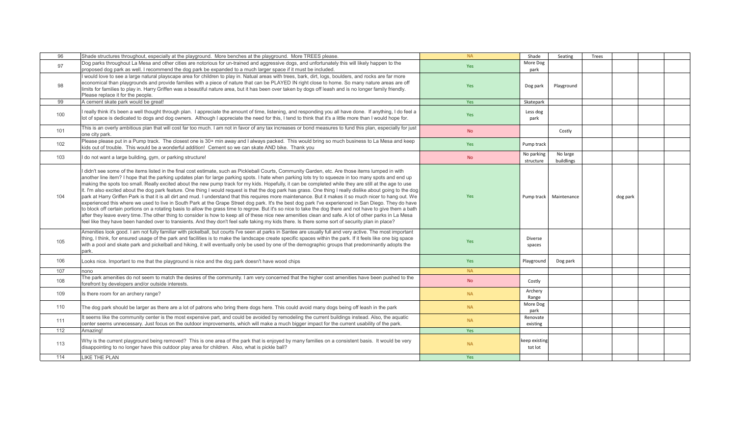| 96  | Shade structures throughout, especially at the playground. More benches at the playground. More TREES please.                                                                                                                                                                                                                                                                                                                                                                                                                                                                                                                                                                                                                                                                                                                                                                                                                                                                                                                                                                                                                                                                                                                                                                                                                                                                                                                               | <b>NA</b>  | Shade                    | Seating                  | Trees |          |  |
|-----|---------------------------------------------------------------------------------------------------------------------------------------------------------------------------------------------------------------------------------------------------------------------------------------------------------------------------------------------------------------------------------------------------------------------------------------------------------------------------------------------------------------------------------------------------------------------------------------------------------------------------------------------------------------------------------------------------------------------------------------------------------------------------------------------------------------------------------------------------------------------------------------------------------------------------------------------------------------------------------------------------------------------------------------------------------------------------------------------------------------------------------------------------------------------------------------------------------------------------------------------------------------------------------------------------------------------------------------------------------------------------------------------------------------------------------------------|------------|--------------------------|--------------------------|-------|----------|--|
| 97  | Dog parks throughout La Mesa and other cities are notorious for un-trained and aggressive dogs, and unfortunately this will likely happen to the<br>proposed dog park as well. I recommend the dog park be expanded to a much larger space if it must be included.                                                                                                                                                                                                                                                                                                                                                                                                                                                                                                                                                                                                                                                                                                                                                                                                                                                                                                                                                                                                                                                                                                                                                                          | Yes        | More Dog<br>park         |                          |       |          |  |
| 98  | I would love to see a large natural playscape area for children to play in. Natual areas with trees, bark, dirt, logs, boulders, and rocks are far more<br>economical than playgrounds and provide families with a piece of nature that can be PLAYED IN right close to home. So many nature areas are off<br>limits for families to play in. Harry Griffen was a beautiful nature area, but it has been over taken by dogs off leash and is no longer family friendly.<br>Please replace it for the people.                                                                                                                                                                                                                                                                                                                                                                                                                                                                                                                                                                                                                                                                                                                                                                                                                                                                                                                                | <b>Yes</b> | Dog park                 | Playground               |       |          |  |
| 99  | A cement skate park would be great!                                                                                                                                                                                                                                                                                                                                                                                                                                                                                                                                                                                                                                                                                                                                                                                                                                                                                                                                                                                                                                                                                                                                                                                                                                                                                                                                                                                                         | Yes        | Skatepark                |                          |       |          |  |
| 100 | I really think it's been a well thought through plan. I appreciate the amount of time, listening, and responding you all have done. If anything, I do feel a<br>lot of space is dedicated to dogs and dog owners. Although I appreciate the need for this, I tend to think that it's a little more than I would hope for.                                                                                                                                                                                                                                                                                                                                                                                                                                                                                                                                                                                                                                                                                                                                                                                                                                                                                                                                                                                                                                                                                                                   | Yes        | Less dog<br>park         |                          |       |          |  |
| 101 | This is an overly ambitious plan that will cost far too much. I am not in favor of any tax increases or bond measures to fund this plan, especially for just<br>one city park.                                                                                                                                                                                                                                                                                                                                                                                                                                                                                                                                                                                                                                                                                                                                                                                                                                                                                                                                                                                                                                                                                                                                                                                                                                                              | <b>No</b>  |                          | Costly                   |       |          |  |
| 102 | Please please put in a Pump track. The closest one is 30+ min away and I always packed. This would bring so much business to La Mesa and keep<br>kids out of trouble. This would be a wonderful addition! Cement so we can skate AND bike. Thank you                                                                                                                                                                                                                                                                                                                                                                                                                                                                                                                                                                                                                                                                                                                                                                                                                                                                                                                                                                                                                                                                                                                                                                                        | Yes        | Pump track               |                          |       |          |  |
| 103 | I do not want a large building, gym, or parking structure!                                                                                                                                                                                                                                                                                                                                                                                                                                                                                                                                                                                                                                                                                                                                                                                                                                                                                                                                                                                                                                                                                                                                                                                                                                                                                                                                                                                  | <b>No</b>  | No parking<br>structure  | No large<br>buildlings   |       |          |  |
| 104 | I didn't see some of the items listed in the final cost estimate, such as Pickleball Courts, Community Garden, etc. Are those items lumped in with<br>another line item? I hope that the parking updates plan for large parking spots. I hate when parking lots try to squeeze in too many spots and end up<br>making the spots too small. Really excited about the new pump track for my kids. Hopefully, it can be completed while they are still at the age to use<br>it. I'm also excited about the dog park feature. One thing I would request is that the dog park has grass. One thing I really dislike about going to the dog<br>park at Harry Griffen Park is that it is all dirt and mud. I understand that this requires more maintenance. But it makes it so much nicer to hang out. We<br>experienced this where we used to live in South Park at the Grape Street dog park. It's the best dog park I've experienced in San Diego. They do have<br>to block off certain portions on a rotating basis to allow the grass time to regrow. But it's so nice to take the dog there and not have to give them a bath<br>after they leave every time. The other thing to consider is how to keep all of these nice new amenities clean and safe. A lot of other parks in La Mesa<br>feel like they have been handed over to transients. And they don't feel safe taking my kids there. Is there some sort of security plan in place? | Yes        |                          | Pump track   Maintenance |       | dog park |  |
| 105 | Amenities look good. I am not fully familiar with pickelball, but courts I've seen at parks in Santee are usually full and very active. The most important<br>thing, I think, for ensured usage of the park and facilities is to make the landscape create specific spaces within the park. If it feels like one big space<br>with a pool and skate park and pickelball and hiking, it will eventually only be used by one of the demographic groups that predominantly adopts the<br>park.                                                                                                                                                                                                                                                                                                                                                                                                                                                                                                                                                                                                                                                                                                                                                                                                                                                                                                                                                 | Yes        | Diverse<br>spaces        |                          |       |          |  |
| 106 | Looks nice. Important to me that the playground is nice and the dog park doesn't have wood chips                                                                                                                                                                                                                                                                                                                                                                                                                                                                                                                                                                                                                                                                                                                                                                                                                                                                                                                                                                                                                                                                                                                                                                                                                                                                                                                                            | Yes        | Playground               | Dog park                 |       |          |  |
| 107 | nono                                                                                                                                                                                                                                                                                                                                                                                                                                                                                                                                                                                                                                                                                                                                                                                                                                                                                                                                                                                                                                                                                                                                                                                                                                                                                                                                                                                                                                        | <b>NA</b>  |                          |                          |       |          |  |
| 108 | The park amenities do not seem to match the desires of the community. I am very concerned that the higher cost amenities have been pushed to the<br>forefront by developers and/or outside interests.                                                                                                                                                                                                                                                                                                                                                                                                                                                                                                                                                                                                                                                                                                                                                                                                                                                                                                                                                                                                                                                                                                                                                                                                                                       | <b>No</b>  | Costly                   |                          |       |          |  |
| 109 | Is there room for an archery range?                                                                                                                                                                                                                                                                                                                                                                                                                                                                                                                                                                                                                                                                                                                                                                                                                                                                                                                                                                                                                                                                                                                                                                                                                                                                                                                                                                                                         | <b>NA</b>  | Archery<br>Range         |                          |       |          |  |
| 110 | The dog park should be larger as there are a lot of patrons who bring there dogs here. This could avoid many dogs being off leash in the park                                                                                                                                                                                                                                                                                                                                                                                                                                                                                                                                                                                                                                                                                                                                                                                                                                                                                                                                                                                                                                                                                                                                                                                                                                                                                               | <b>NA</b>  | More Dog<br>park         |                          |       |          |  |
| 111 | It seems like the community center is the most expensive part, and could be avoided by remodeling the current buildings instead. Also, the aquatic<br>center seems unnecessary. Just focus on the outdoor improvements, which will make a much bigger impact for the current usability of the park.                                                                                                                                                                                                                                                                                                                                                                                                                                                                                                                                                                                                                                                                                                                                                                                                                                                                                                                                                                                                                                                                                                                                         | <b>NA</b>  | Renovate<br>existing     |                          |       |          |  |
| 112 | Amazing!                                                                                                                                                                                                                                                                                                                                                                                                                                                                                                                                                                                                                                                                                                                                                                                                                                                                                                                                                                                                                                                                                                                                                                                                                                                                                                                                                                                                                                    | Yes        |                          |                          |       |          |  |
| 113 | Why is the current playground being removed? This is one area of the park that is enjoyed by many families on a consistent basis. It would be very<br>disappointing to no longer have this outdoor play area for children. Also, what is pickle ball?                                                                                                                                                                                                                                                                                                                                                                                                                                                                                                                                                                                                                                                                                                                                                                                                                                                                                                                                                                                                                                                                                                                                                                                       | <b>NA</b>  | keep existing<br>tot lot |                          |       |          |  |
| 114 | <b>LIKE THE PLAN</b>                                                                                                                                                                                                                                                                                                                                                                                                                                                                                                                                                                                                                                                                                                                                                                                                                                                                                                                                                                                                                                                                                                                                                                                                                                                                                                                                                                                                                        | Yes        |                          |                          |       |          |  |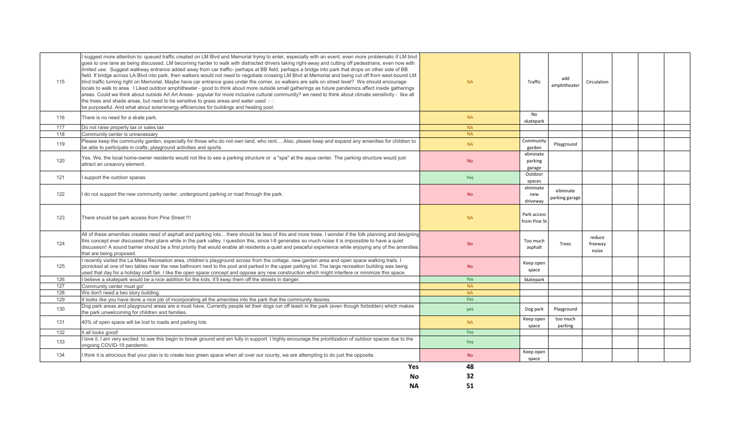| 115 | suggest more attention to: queued traffic created on LM Blvd and Memorial trying to enter, especially with an event, even more problematic if LM blvd<br>goes to one lane as being discussed. LM becoming harder to walk with distracted drivers taking right-away and cutting off pedestrians, even now with<br>limited use. Suggest walkway entrance added away from car traffic- perhaps at BB field, perhaps a bridge into park that drops on other side of BB<br>field. If bridge across LA Blvd into park, then walkers would not need to negotiate crossing LM Blvd at Memorial and being cut off from west-bound LM<br>blyd traffic turning right on Memorial. Maybe have car entrance goes under the corner, so walkers are safe on street level? We should encourage<br>locals to walk to area. I Liked outdoor amphitheater - good to think about more outside small gatherings as future pandemics affect inside gatherings<br>areas. Could we think about outside Art Art Areas- popular for more inclusive cultural community? we need to think about climate sensitivity - like all<br>the trees and shade areas, but need to be sensitive to grass areas and water used $- \Box$<br>be purposeful. And what about solar/energy efficiencies for buildings and heating pool. | <b>NA</b> | Traffic                        | add<br>amphitheater         | Circulation                |  |  |
|-----|---------------------------------------------------------------------------------------------------------------------------------------------------------------------------------------------------------------------------------------------------------------------------------------------------------------------------------------------------------------------------------------------------------------------------------------------------------------------------------------------------------------------------------------------------------------------------------------------------------------------------------------------------------------------------------------------------------------------------------------------------------------------------------------------------------------------------------------------------------------------------------------------------------------------------------------------------------------------------------------------------------------------------------------------------------------------------------------------------------------------------------------------------------------------------------------------------------------------------------------------------------------------------------------------|-----------|--------------------------------|-----------------------------|----------------------------|--|--|
| 116 | There is no need for a skate park.                                                                                                                                                                                                                                                                                                                                                                                                                                                                                                                                                                                                                                                                                                                                                                                                                                                                                                                                                                                                                                                                                                                                                                                                                                                          | <b>NA</b> | <b>No</b><br>skatepark         |                             |                            |  |  |
| 117 | Do not raise property tax or sales tax                                                                                                                                                                                                                                                                                                                                                                                                                                                                                                                                                                                                                                                                                                                                                                                                                                                                                                                                                                                                                                                                                                                                                                                                                                                      | <b>NA</b> |                                |                             |                            |  |  |
| 118 | Community center is unnecessary                                                                                                                                                                                                                                                                                                                                                                                                                                                                                                                                                                                                                                                                                                                                                                                                                                                                                                                                                                                                                                                                                                                                                                                                                                                             | <b>NA</b> |                                |                             |                            |  |  |
| 119 | Please keep the community garden, especially for those who do not own land, who rentAlso, please keep and expand any amenities for children to<br>be able to participate in crafts, playground activities and sports.                                                                                                                                                                                                                                                                                                                                                                                                                                                                                                                                                                                                                                                                                                                                                                                                                                                                                                                                                                                                                                                                       | <b>NA</b> | Community<br>garden            | Playground                  |                            |  |  |
| 120 | Yes. We, the local home-owner residents would not like to see a parking structure or a "spa" at the aqua center. The parking structure would just<br>attract an unsavory element.                                                                                                                                                                                                                                                                                                                                                                                                                                                                                                                                                                                                                                                                                                                                                                                                                                                                                                                                                                                                                                                                                                           | <b>No</b> | eliminate<br>parking<br>garage |                             |                            |  |  |
| 121 | support the outdoor spaces                                                                                                                                                                                                                                                                                                                                                                                                                                                                                                                                                                                                                                                                                                                                                                                                                                                                                                                                                                                                                                                                                                                                                                                                                                                                  | Yes       | Outdoor<br>spaces              |                             |                            |  |  |
| 122 | I do not support the new community center, underground parking or road through the park.                                                                                                                                                                                                                                                                                                                                                                                                                                                                                                                                                                                                                                                                                                                                                                                                                                                                                                                                                                                                                                                                                                                                                                                                    | <b>No</b> | eliminate<br>new<br>driveway   | eliminate<br>parking garage |                            |  |  |
| 123 | There should be park access from Pine Street !!!                                                                                                                                                                                                                                                                                                                                                                                                                                                                                                                                                                                                                                                                                                                                                                                                                                                                                                                                                                                                                                                                                                                                                                                                                                            | <b>NA</b> | Park access<br>from Pine St    |                             |                            |  |  |
| 124 | All of these amenities creates need of asphalt and parking lots there should be less of this and more trees. I wonder if the folk planning and designing<br>this concept ever discussed their plans while in the park valley. I question this, since I-8 generates so much noise it is impossible to have a quiet<br>discussion! A sound barrier should be a first priority that would enable all residents a quiet and peaceful experience while enjoying any of the amenities<br>that are being proposed.                                                                                                                                                                                                                                                                                                                                                                                                                                                                                                                                                                                                                                                                                                                                                                                 | <b>No</b> | Too much<br>asphalt            | Trees                       | reduce<br>freeway<br>noise |  |  |
| 125 | recently visited the La Mesa Recreation area, children's playground across from the cottage, new garden area and open space walking trails. I<br>picnicked at one of two tables near the new bathroom next to the pool and parked in the upper parking lot. The large recreation building was being<br>used that day for a holiday craft fair. I like the open space concept and oppose any new construction which might interfere or minimize this space.                                                                                                                                                                                                                                                                                                                                                                                                                                                                                                                                                                                                                                                                                                                                                                                                                                  | <b>No</b> | Keep open<br>space             |                             |                            |  |  |
| 126 | I believe a skatepark would be a nice addition for the kids. It'll keep them off the streets in danger.                                                                                                                                                                                                                                                                                                                                                                                                                                                                                                                                                                                                                                                                                                                                                                                                                                                                                                                                                                                                                                                                                                                                                                                     | Yes       | Skatepark                      |                             |                            |  |  |
| 127 | Community center must go!                                                                                                                                                                                                                                                                                                                                                                                                                                                                                                                                                                                                                                                                                                                                                                                                                                                                                                                                                                                                                                                                                                                                                                                                                                                                   | <b>NA</b> |                                |                             |                            |  |  |
| 128 | We don't need a two story building                                                                                                                                                                                                                                                                                                                                                                                                                                                                                                                                                                                                                                                                                                                                                                                                                                                                                                                                                                                                                                                                                                                                                                                                                                                          | <b>NA</b> |                                |                             |                            |  |  |
| 129 | It looks like you have done a nice job of incorporating all the amenities into the park that the community desires.                                                                                                                                                                                                                                                                                                                                                                                                                                                                                                                                                                                                                                                                                                                                                                                                                                                                                                                                                                                                                                                                                                                                                                         | Yes       |                                |                             |                            |  |  |
| 130 | Dog park areas and playground areas are a must have. Currently people let their dogs run off leash in the park (even though forbidden) which makes<br>the park unwelcoming for children and families.                                                                                                                                                                                                                                                                                                                                                                                                                                                                                                                                                                                                                                                                                                                                                                                                                                                                                                                                                                                                                                                                                       | yes       | Dog park                       | Playground                  |                            |  |  |
| 131 | 40% of open space will be lost to roads and parking lots                                                                                                                                                                                                                                                                                                                                                                                                                                                                                                                                                                                                                                                                                                                                                                                                                                                                                                                                                                                                                                                                                                                                                                                                                                    | <b>NA</b> | Keep open<br>space             | too much<br>parking         |                            |  |  |
| 132 | It all looks good!                                                                                                                                                                                                                                                                                                                                                                                                                                                                                                                                                                                                                                                                                                                                                                                                                                                                                                                                                                                                                                                                                                                                                                                                                                                                          | Yes       |                                |                             |                            |  |  |
| 133 | love it, I am very excited to see this begin to break ground and am fully in support. I highly encourage the prioritization of outdoor spaces due to the<br>ongoing COVID-19 pandemic                                                                                                                                                                                                                                                                                                                                                                                                                                                                                                                                                                                                                                                                                                                                                                                                                                                                                                                                                                                                                                                                                                       | Yes       |                                |                             |                            |  |  |
| 134 | think it is atrocious that your plan is to create less green space when all over our county, we are attempting to do just the opposite.                                                                                                                                                                                                                                                                                                                                                                                                                                                                                                                                                                                                                                                                                                                                                                                                                                                                                                                                                                                                                                                                                                                                                     | <b>No</b> | Keep open<br>space             |                             |                            |  |  |
|     | <b>Yes</b>                                                                                                                                                                                                                                                                                                                                                                                                                                                                                                                                                                                                                                                                                                                                                                                                                                                                                                                                                                                                                                                                                                                                                                                                                                                                                  | 48        |                                |                             |                            |  |  |
|     | <b>No</b>                                                                                                                                                                                                                                                                                                                                                                                                                                                                                                                                                                                                                                                                                                                                                                                                                                                                                                                                                                                                                                                                                                                                                                                                                                                                                   | 32        |                                |                             |                            |  |  |
|     | <b>NA</b>                                                                                                                                                                                                                                                                                                                                                                                                                                                                                                                                                                                                                                                                                                                                                                                                                                                                                                                                                                                                                                                                                                                                                                                                                                                                                   | 51        |                                |                             |                            |  |  |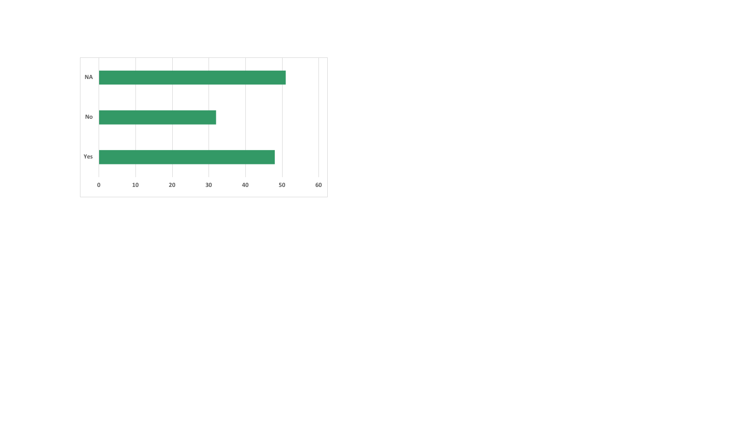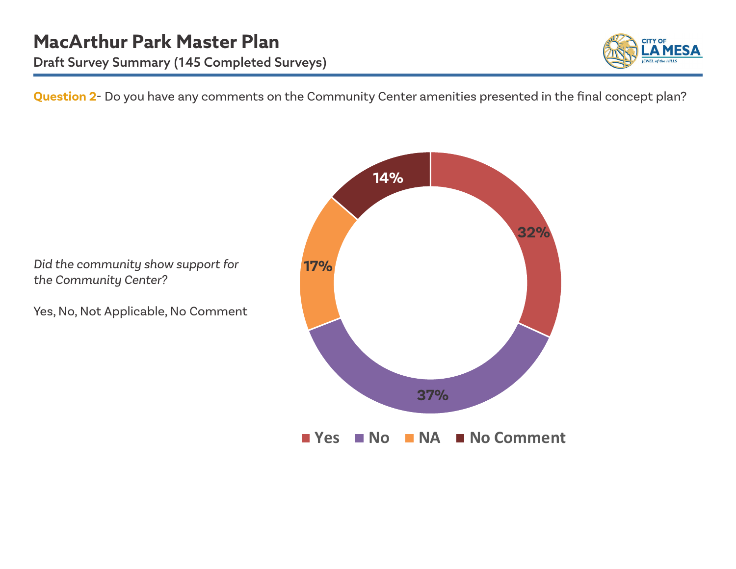

**Question 2**- Do you have any comments on the Community Center amenities presented in the final concept plan?

**17% 37% 14%**

**No NA N** No Comment

**32%**

*Did the community show support for the Community Center?* 

Yes, No, Not Applicable, No Comment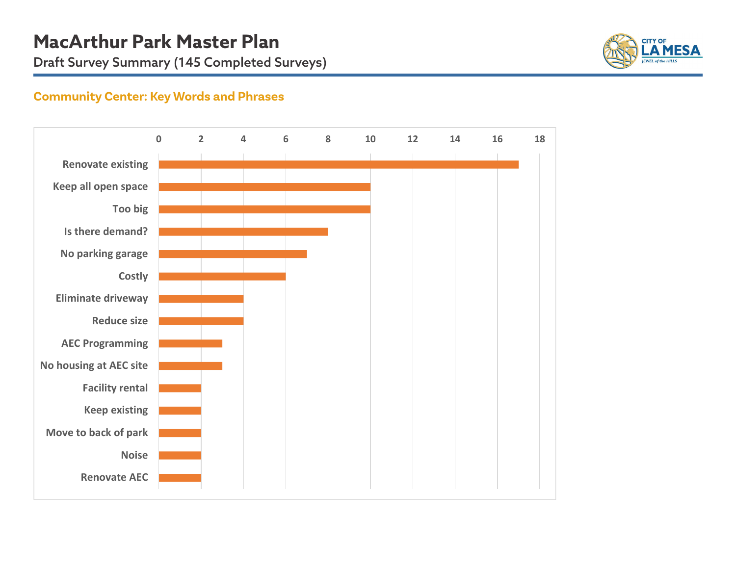

## **Community Center: Key Words and Phrases**

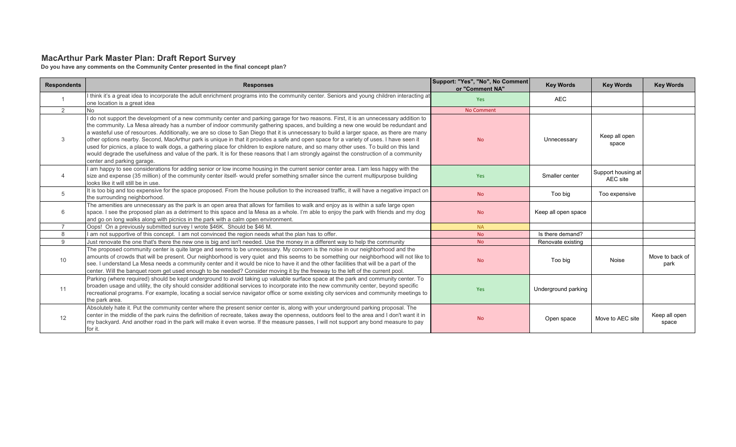#### **MacArthur Park Master Plan: Draft Report Survey**

**Do you have any comments on the Community Center presented in the final concept plan?**

| <b>Respondents</b> | <b>Responses</b>                                                                                                                                                                                                                                                                                                                                                                                                                                                                                                                                                                                                                                                                                                                                                                                                                                                                    | Support: "Yes", "No", No Comment<br>or "Comment NA" | <b>Key Words</b>    | <b>Key Words</b>               | <b>Key Words</b>        |
|--------------------|-------------------------------------------------------------------------------------------------------------------------------------------------------------------------------------------------------------------------------------------------------------------------------------------------------------------------------------------------------------------------------------------------------------------------------------------------------------------------------------------------------------------------------------------------------------------------------------------------------------------------------------------------------------------------------------------------------------------------------------------------------------------------------------------------------------------------------------------------------------------------------------|-----------------------------------------------------|---------------------|--------------------------------|-------------------------|
|                    | I think it's a great idea to incorporate the adult enrichment programs into the community center. Seniors and young children interacting at<br>one location is a great idea                                                                                                                                                                                                                                                                                                                                                                                                                                                                                                                                                                                                                                                                                                         | <b>Yes</b>                                          | <b>AEC</b>          |                                |                         |
| 2                  |                                                                                                                                                                                                                                                                                                                                                                                                                                                                                                                                                                                                                                                                                                                                                                                                                                                                                     | <b>No Comment</b>                                   |                     |                                |                         |
| 3                  | I do not support the development of a new community center and parking garage for two reasons. First, it is an unnecessary addition to<br>the community. La Mesa already has a number of indoor community gathering spaces, and building a new one would be redundant and<br>a wasteful use of resources. Additionally, we are so close to San Diego that it is unnecessary to build a larger space, as there are many<br>other options nearby. Second, MacArthur park is unique in that it provides a safe and open space for a variety of uses. I have seen it<br>used for picnics, a place to walk dogs, a gathering place for children to explore nature, and so many other uses. To build on this land<br>would degrade the usefulness and value of the park. It is for these reasons that I am strongly against the construction of a community<br>center and parking garage. | <b>No</b>                                           | Unnecessary         | Keep all open<br>space         |                         |
| $\overline{4}$     | I am happy to see considerations for adding senior or low income housing in the current senior center area. Eam less happy with the<br>size and expense (35 million) of the community center itself- would prefer something smaller since the current multipurpose building<br>looks like it will still be in use.                                                                                                                                                                                                                                                                                                                                                                                                                                                                                                                                                                  | <b>Yes</b>                                          | Smaller center      | Support housing at<br>AEC site |                         |
| 5                  | It is too big and too expensive for the space proposed. From the house pollution to the increased traffic, it will have a negative impact on<br>the surrounding neighborhood.                                                                                                                                                                                                                                                                                                                                                                                                                                                                                                                                                                                                                                                                                                       | <b>No</b>                                           | Too big             | Too expensive                  |                         |
| 6                  | The amenities are unnecessary as the park is an open area that allows for families to walk and enjoy as is within a safe large open<br>space. I see the proposed plan as a detriment to this space and la Mesa as a whole. I'm able to enjoy the park with friends and my dog<br>and go on long walks along with picnics in the park with a calm open environment.                                                                                                                                                                                                                                                                                                                                                                                                                                                                                                                  | <b>No</b>                                           | Keep all open space |                                |                         |
|                    | Oops! On a previously submitted survey I wrote \$46K. Should be \$46 M.                                                                                                                                                                                                                                                                                                                                                                                                                                                                                                                                                                                                                                                                                                                                                                                                             | <b>NA</b>                                           |                     |                                |                         |
| 8                  | I am not supportive of this concept. I am not convinced the region needs what the plan has to offer.                                                                                                                                                                                                                                                                                                                                                                                                                                                                                                                                                                                                                                                                                                                                                                                | No.                                                 | Is there demand?    |                                |                         |
| 9                  | Just renovate the one that's there the new one is big and isn't needed. Use the money in a different way to help the community                                                                                                                                                                                                                                                                                                                                                                                                                                                                                                                                                                                                                                                                                                                                                      | No.                                                 | Renovate existing   |                                |                         |
| 10                 | The proposed community center is quite large and seems to be unnecessary. My concern is the noise in our neighborhood and the<br>amounts of crowds that will be present. Our neighborhood is very quiet and this seems to be something our neighborhood will not like to<br>see. I understand La Mesa needs a community center and it would be nice to have it and the other facilities that will be a part of the<br>center. Will the banquet room get used enough to be needed? Consider moving it by the freeway to the left of the current pool.                                                                                                                                                                                                                                                                                                                                | <b>No</b>                                           | Too big             | Noise                          | Move to back of<br>park |
| 11                 | Parking (where required) should be kept underground to avoid taking up valuable surface space at the park and community center. To<br>broaden usage and utility, the city should consider additional services to incorporate into the new community center, beyond specific<br>recreational programs. For example, locating a social service navigator office or some existing city services and community meetings to<br>the park area.                                                                                                                                                                                                                                                                                                                                                                                                                                            | <b>Yes</b>                                          | Underground parking |                                |                         |
| 12                 | Absolutely hate it. Put the community center where the present senior center is, along with your underground parking proposal. The<br>center in the middle of the park ruins the definition of recreate, takes away the openness, outdoors feel to the area and I don't want it in<br>my backyard. And another road in the park will make it even worse. If the measure passes, I will not support any bond measure to pay<br>for it                                                                                                                                                                                                                                                                                                                                                                                                                                                | <b>No</b>                                           | Open space          | Move to AEC site               | Keep all open<br>space  |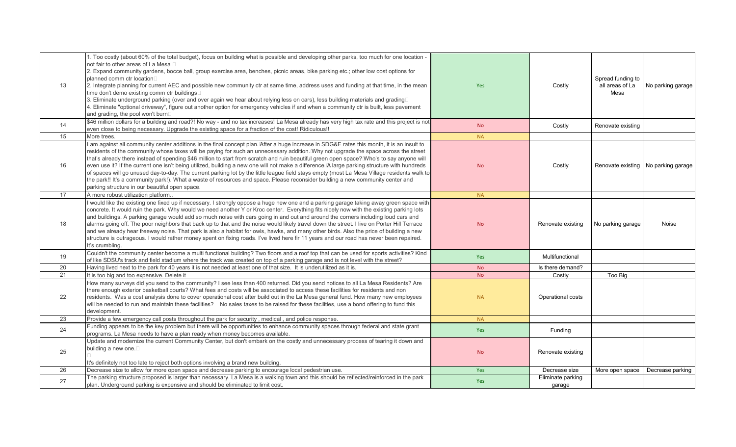| 13 | 1. Too costly (about 60% of the total budget), focus on building what is possible and developing other parks, too much for one location -<br>not fair to other areas of La Mesa □<br>2. Expand community gardens, bocce ball, group exercise area, benches, picnic areas, bike parking etc.; other low cost options for<br>planned comm ctr location□<br>2. Integrate planning for current AEC and possible new community ctr at same time, address uses and funding at that time, in the mean<br>time don't demo existing comm ctr buildings□<br>3. Eliminate underground parking (over and over again we hear about relying less on cars), less building materials and grading□<br>4. Eliminate "optional driveway", figure out another option for emergency vehicles if and when a community ctr is built, less pavement<br>and grading, the pool won't burn                                                   | Yes        | Costly                      | Spread funding to<br>all areas of La<br>Mesa | No parking garage                     |
|----|-------------------------------------------------------------------------------------------------------------------------------------------------------------------------------------------------------------------------------------------------------------------------------------------------------------------------------------------------------------------------------------------------------------------------------------------------------------------------------------------------------------------------------------------------------------------------------------------------------------------------------------------------------------------------------------------------------------------------------------------------------------------------------------------------------------------------------------------------------------------------------------------------------------------|------------|-----------------------------|----------------------------------------------|---------------------------------------|
| 14 | \$46 million dollars for a building and road?! No way - and no tax increases! La Mesa already has very high tax rate and this project is not<br>even close to being necessary. Upgrade the existing space for a fraction of the cost! Ridiculous!!                                                                                                                                                                                                                                                                                                                                                                                                                                                                                                                                                                                                                                                                | <b>No</b>  | Costly                      | Renovate existing                            |                                       |
| 15 | More trees.                                                                                                                                                                                                                                                                                                                                                                                                                                                                                                                                                                                                                                                                                                                                                                                                                                                                                                       | <b>NA</b>  |                             |                                              |                                       |
| 16 | I am against all community center additions in the final concept plan. After a huge increase in SDG&E rates this month, it is an insult to<br>residents of the community whose taxes will be paying for such an unnecessary addition. Why not upgrade the space across the street<br>that's already there instead of spending \$46 million to start from scratch and ruin beautiful green open space? Who's to say anyone will<br>even use it? If the current one isn't being utilized, building a new one will not make a difference. A large parking structure with hundreds<br>of spaces will go unused day-to-day. The current parking lot by the little league field stays empty (most La Mesa Village residents walk to<br>the park!! It's a community park!). What a waste of resources and space. Please reconsider building a new community center and<br>parking structure in our beautiful open space. | <b>No</b>  | Costly                      |                                              | Renovate existing   No parking garage |
| 17 | A more robust utilization platform.                                                                                                                                                                                                                                                                                                                                                                                                                                                                                                                                                                                                                                                                                                                                                                                                                                                                               | <b>NA</b>  |                             |                                              |                                       |
| 18 | I would like the existing one fixed up if necessary. I strongly oppose a huge new one and a parking garage taking away green space with<br>concrete. It would ruin the park. Why would we need another Y or Kroc center. Everything fits nicely now with the existing parking lots<br>and buildings. A parking garage would add so much noise with cars going in and out and around the corners including loud cars and<br>alarms going off. The poor neighbors that back up to that and the noise would likely travel down the street. I live on Porter Hill Terrace<br>and we already hear freeway noise. That park is also a habitat for owls, hawks, and many other birds. Also the price of building a new<br>structure is outrageous. I would rather money spent on fixing roads. I've lived here fir 11 years and our road has never been repaired.<br>It's crumbling.                                     | <b>No</b>  | Renovate existing           | No parking garage                            | Noise                                 |
| 19 | Couldn't the community center become a multi functional building? Two floors and a roof top that can be used for sports activities? Kind<br>of like SDSU's track and field stadium where the track was created on top of a parking garage and is not level with the street?                                                                                                                                                                                                                                                                                                                                                                                                                                                                                                                                                                                                                                       | <b>Yes</b> | Multifunctional             |                                              |                                       |
| 20 | Having lived next to the park for 40 years it is not needed at least one of that size. It is underutilized as it is.                                                                                                                                                                                                                                                                                                                                                                                                                                                                                                                                                                                                                                                                                                                                                                                              | <b>No</b>  | Is there demand?            |                                              |                                       |
| 21 | It is too big and too expensive. Delete it                                                                                                                                                                                                                                                                                                                                                                                                                                                                                                                                                                                                                                                                                                                                                                                                                                                                        | <b>No</b>  | Costly                      | Too Big                                      |                                       |
| 22 | How many surveys did you send to the community? I see less than 400 returned. Did you send notices to all La Mesa Residents? Are<br>there enough exterior basketball courts? What fees and costs will be associated to access these facilities for residents and non<br>residents. Was a cost analysis done to cover operational cost after build out in the La Mesa general fund. How many new employees<br>will be needed to run and maintain these facilities? No sales taxes to be raised for these facilities, use a bond offering to fund this<br>development.                                                                                                                                                                                                                                                                                                                                              | <b>NA</b>  | Operational costs           |                                              |                                       |
| 23 | Provide a few emergency call posts throughout the park for security, medical, and police response.                                                                                                                                                                                                                                                                                                                                                                                                                                                                                                                                                                                                                                                                                                                                                                                                                | <b>NA</b>  |                             |                                              |                                       |
| 24 | Funding appears to be the key problem but there will be opportunities to enhance community spaces through federal and state grant<br>programs. La Mesa needs to have a plan ready when money becomes available.                                                                                                                                                                                                                                                                                                                                                                                                                                                                                                                                                                                                                                                                                                   | Yes        | Funding                     |                                              |                                       |
| 25 | Update and modernize the current Community Center, but don't embark on the costly and unnecessary process of tearing it down and<br>building a new one.□<br>It's definitely not too late to reject both options involving a brand new building.                                                                                                                                                                                                                                                                                                                                                                                                                                                                                                                                                                                                                                                                   | <b>No</b>  | Renovate existing           |                                              |                                       |
| 26 | Decrease size to allow for more open space and decrease parking to encourage local pedestrian use.                                                                                                                                                                                                                                                                                                                                                                                                                                                                                                                                                                                                                                                                                                                                                                                                                | Yes        | Decrease size               | More open space                              | Decrease parking                      |
| 27 | The parking structure proposed is larger than necessary. La Mesa is a walking town and this should be reflected/reinforced in the park<br>plan. Underground parking is expensive and should be eliminated to limit cost.                                                                                                                                                                                                                                                                                                                                                                                                                                                                                                                                                                                                                                                                                          | Yes        | Eliminate parking<br>qaraqe |                                              |                                       |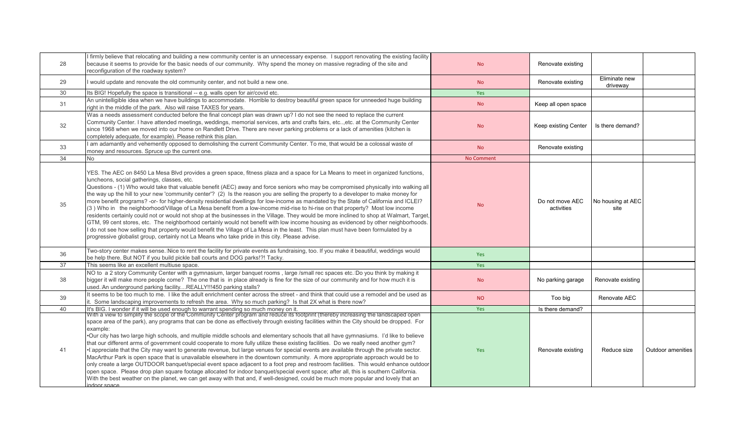| I firmly believe that relocating and building a new community center is an unnecessary expense. I support renovating the existing facility<br>because it seems to provide for the basic needs of our community. Why spend the money on massive regrading of the site and<br>reconfiguration of the roadway system?                                                                                                                                                                                                                                                                                                                                                                                                                                                                                                                                                                                                                                                                                                                                                                                                                                                                                                                                                     | <b>No</b>                                                                                                                                                                                                                                                                                                                                                                                                                                                                                                                                                                                                                                           | Renovate existing             |                           |                          |
|------------------------------------------------------------------------------------------------------------------------------------------------------------------------------------------------------------------------------------------------------------------------------------------------------------------------------------------------------------------------------------------------------------------------------------------------------------------------------------------------------------------------------------------------------------------------------------------------------------------------------------------------------------------------------------------------------------------------------------------------------------------------------------------------------------------------------------------------------------------------------------------------------------------------------------------------------------------------------------------------------------------------------------------------------------------------------------------------------------------------------------------------------------------------------------------------------------------------------------------------------------------------|-----------------------------------------------------------------------------------------------------------------------------------------------------------------------------------------------------------------------------------------------------------------------------------------------------------------------------------------------------------------------------------------------------------------------------------------------------------------------------------------------------------------------------------------------------------------------------------------------------------------------------------------------------|-------------------------------|---------------------------|--------------------------|
| I would update and renovate the old community center, and not build a new one.                                                                                                                                                                                                                                                                                                                                                                                                                                                                                                                                                                                                                                                                                                                                                                                                                                                                                                                                                                                                                                                                                                                                                                                         | <b>No</b>                                                                                                                                                                                                                                                                                                                                                                                                                                                                                                                                                                                                                                           | Renovate existing             | Eliminate new<br>driveway |                          |
| Its BIG! Hopefully the space is transitional -- e.g. walls open for air/covid etc.                                                                                                                                                                                                                                                                                                                                                                                                                                                                                                                                                                                                                                                                                                                                                                                                                                                                                                                                                                                                                                                                                                                                                                                     | Yes                                                                                                                                                                                                                                                                                                                                                                                                                                                                                                                                                                                                                                                 |                               |                           |                          |
| An unintelligible idea when we have buildings to accommodate. Horrible to destroy beautiful green space for unneeded huge building<br>right in the middle of the park. Also will raise TAXES for years.                                                                                                                                                                                                                                                                                                                                                                                                                                                                                                                                                                                                                                                                                                                                                                                                                                                                                                                                                                                                                                                                | <b>No</b>                                                                                                                                                                                                                                                                                                                                                                                                                                                                                                                                                                                                                                           | Keep all open space           |                           |                          |
| Community Center. I have attended meetings, weddings, memorial services, arts and crafts fairs, etcetc. at the Community Center<br>since 1968 when we moved into our home on Randlett Drive. There are never parking problems or a lack of amenities (kitchen is<br>completely adequate, for example). Please rethink this plan.                                                                                                                                                                                                                                                                                                                                                                                                                                                                                                                                                                                                                                                                                                                                                                                                                                                                                                                                       | <b>No</b>                                                                                                                                                                                                                                                                                                                                                                                                                                                                                                                                                                                                                                           | Keep existing Center          | Is there demand?          |                          |
| money and resources. Spruce up the current one.                                                                                                                                                                                                                                                                                                                                                                                                                                                                                                                                                                                                                                                                                                                                                                                                                                                                                                                                                                                                                                                                                                                                                                                                                        | <b>No</b>                                                                                                                                                                                                                                                                                                                                                                                                                                                                                                                                                                                                                                           | Renovate existing             |                           |                          |
| <b>No</b>                                                                                                                                                                                                                                                                                                                                                                                                                                                                                                                                                                                                                                                                                                                                                                                                                                                                                                                                                                                                                                                                                                                                                                                                                                                              | <b>No Comment</b>                                                                                                                                                                                                                                                                                                                                                                                                                                                                                                                                                                                                                                   |                               |                           |                          |
| YES. The AEC on 8450 La Mesa Blvd provides a green space, fitness plaza and a space for La Means to meet in organized functions,<br>luncheons, social gatherings, classes, etc.<br>Questions - (1) Who would take that valuable benefit (AEC) away and force seniors who may be compromised physically into walking all<br>the way up the hill to your new 'community center'? (2) Is the reason you are selling the property to a developer to make money for<br>more benefit programs? -or- for higher-density residential dwellings for low-income as mandated by the State of California and ICLEI?<br>(3) Who in the neighborhood/Village of La Mesa benefit from a low-income mid-rise to hi-rise on that property? Most low income<br>residents certainly could not or would not shop at the businesses in the Village. They would be more inclined to shop at Walmart, Target,<br>GTM, 99 cent stores, etc. The neighborhood certainly would not benefit with low income housing as evidenced by other neighborhoods.<br>I do not see how selling that property would benefit the Village of La Mesa in the least. This plan must have been formulated by a<br>progressive globalist group, certainly not La Means who take pride in this city. Please advise. | <b>No</b>                                                                                                                                                                                                                                                                                                                                                                                                                                                                                                                                                                                                                                           | Do not move AEC<br>activities | site                      |                          |
| Two-story center makes sense. Nice to rent the facility for private events as fundraising, too. If you make it beautiful, weddings would<br>be help there. But NOT if you build pickle ball courts and DOG parks!?! Tacky.                                                                                                                                                                                                                                                                                                                                                                                                                                                                                                                                                                                                                                                                                                                                                                                                                                                                                                                                                                                                                                             | Yes                                                                                                                                                                                                                                                                                                                                                                                                                                                                                                                                                                                                                                                 |                               |                           |                          |
| This seems like an excellent multiuse space.                                                                                                                                                                                                                                                                                                                                                                                                                                                                                                                                                                                                                                                                                                                                                                                                                                                                                                                                                                                                                                                                                                                                                                                                                           | Yes                                                                                                                                                                                                                                                                                                                                                                                                                                                                                                                                                                                                                                                 |                               |                           |                          |
| NO to a 2 story Community Center with a gymnasium, larger banquet rooms, large /small rec spaces etc. Do you think by making it<br>bigger it will make more people come? The one that is in place already is fine for the size of our community and for how much it is<br>used. An underground parking facilityREALLY !!! 450 parking stalls?                                                                                                                                                                                                                                                                                                                                                                                                                                                                                                                                                                                                                                                                                                                                                                                                                                                                                                                          | <b>No</b>                                                                                                                                                                                                                                                                                                                                                                                                                                                                                                                                                                                                                                           | No parking garage             | Renovate existing         |                          |
| it. Some landscaping improvements to refresh the area. Why so much parking? Is that 2X what is there now?                                                                                                                                                                                                                                                                                                                                                                                                                                                                                                                                                                                                                                                                                                                                                                                                                                                                                                                                                                                                                                                                                                                                                              | <b>NO</b>                                                                                                                                                                                                                                                                                                                                                                                                                                                                                                                                                                                                                                           | Too big                       | Renovate AEC              |                          |
|                                                                                                                                                                                                                                                                                                                                                                                                                                                                                                                                                                                                                                                                                                                                                                                                                                                                                                                                                                                                                                                                                                                                                                                                                                                                        | Yes                                                                                                                                                                                                                                                                                                                                                                                                                                                                                                                                                                                                                                                 | Is there demand?              |                           |                          |
| space area of the park), any programs that can be done as effectively through existing facilities within the City should be dropped. For<br>example:<br>. Our city has two large high schools, and multiple middle schools and elementary schools that all have gymnasiums. I'd like to believe<br>that our different arms of government could cooperate to more fully utilize these existing facilities. Do we really need another gym?<br>• Lappreciate that the City may want to generate revenue, but large venues for special events are available through the private sector.<br>MacArthur Park is open space that is unavailable elsewhere in the downtown community. A more appropriate approach would be to<br>only create a large OUTDOOR banquet/special event space adjacent to a foot prep and restroom facilities. This would enhance outdoor<br>open space. Please drop plan square footage allocated for indoor banguet/special event space; after all, this is southern California.<br>With the best weather on the planet, we can get away with that and, if well-designed, could be much more popular and lovely that an                                                                                                                            | Yes                                                                                                                                                                                                                                                                                                                                                                                                                                                                                                                                                                                                                                                 | Renovate existing             | Reduce size               | <b>Outdoor amenities</b> |
|                                                                                                                                                                                                                                                                                                                                                                                                                                                                                                                                                                                                                                                                                                                                                                                                                                                                                                                                                                                                                                                                                                                                                                                                                                                                        | Was a needs assessment conducted before the final concept plan was drawn up? I do not see the need to replace the current<br>I am adamantly and vehemently opposed to demolishing the current Community Center. To me, that would be a colossal waste of<br>It seems to be too much to me. I like the adult enrichment center across the street - and think that could use a remodel and be used as<br>It's BIG. I wonder if it will be used enough to warrant spending so much money on it.<br>With a view to simplify the scope of the Community Center program and reduce its footprint (thereby increasing the landscaped open<br>indoor space. |                               |                           | No housing at AEC        |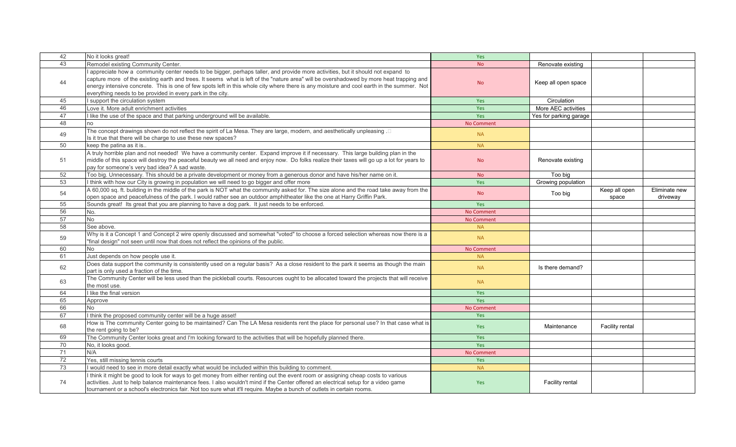| 42 | No it looks great!                                                                                                                                                                                                                                                                                                                                                                                                                                                                     | Yes               |                        |                        |                           |
|----|----------------------------------------------------------------------------------------------------------------------------------------------------------------------------------------------------------------------------------------------------------------------------------------------------------------------------------------------------------------------------------------------------------------------------------------------------------------------------------------|-------------------|------------------------|------------------------|---------------------------|
| 43 | Remodel existing Community Center.                                                                                                                                                                                                                                                                                                                                                                                                                                                     | <b>No</b>         | Renovate existing      |                        |                           |
| 44 | I appreciate how a community center needs to be bigger, perhaps taller, and provide more activities, but it should not expand to<br>capture more of the existing earth and trees. It seems what is left of the "nature area" will be overshadowed by more heat trapping and<br>energy intensive concrete. This is one of few spots left in this whole city where there is any moisture and cool earth in the summer. Not<br>everything needs to be provided in every park in the city. | <b>No</b>         | Keep all open space    |                        |                           |
| 45 | I support the circulation system                                                                                                                                                                                                                                                                                                                                                                                                                                                       | Yes               | Circulation            |                        |                           |
| 46 | Love it. More adult enrichment activities                                                                                                                                                                                                                                                                                                                                                                                                                                              | Yes               | More AEC activities    |                        |                           |
| 47 | I like the use of the space and that parking underground will be available.                                                                                                                                                                                                                                                                                                                                                                                                            | Yes               | Yes for parking garage |                        |                           |
| 48 | סר                                                                                                                                                                                                                                                                                                                                                                                                                                                                                     | <b>No Comment</b> |                        |                        |                           |
| 49 | □. The concept drawings shown do not reflect the spirit of La Mesa. They are large, modern, and aesthetically unpleasing<br>Is it true that there will be charge to use these new spaces?                                                                                                                                                                                                                                                                                              | <b>NA</b>         |                        |                        |                           |
| 50 | keep the patina as it is                                                                                                                                                                                                                                                                                                                                                                                                                                                               | <b>NA</b>         |                        |                        |                           |
| 51 | A truly horrible plan and not needed! We have a community center. Expand improve it if necessary. This large building plan in the<br>middle of this space will destroy the peaceful beauty we all need and enjoy now. Do folks realize their taxes will go up a lot for years to<br>pay for someone's very bad idea? A sad waste.                                                                                                                                                      | <b>No</b>         | Renovate existing      |                        |                           |
| 52 | Too big. Unnecessary. This should be a private development or money from a generous donor and have his/her name on it.                                                                                                                                                                                                                                                                                                                                                                 | <b>No</b>         | Too big                |                        |                           |
| 53 | I think with how our City is growing in population we will need to go bigger and offer more                                                                                                                                                                                                                                                                                                                                                                                            | Yes               | Growing population     |                        |                           |
| 54 | A 60,000 sq. ft. building in the middle of the park is NOT what the community asked for. The size alone and the road take away from the<br>open space and peacefulness of the park. I would rather see an outdoor amphitheater like the one at Harry Griffin Park.                                                                                                                                                                                                                     | <b>No</b>         | Too big                | Keep all open<br>space | Eliminate new<br>driveway |
| 55 | Sounds great! Its great that you are planning to have a dog park. It just needs to be enforced.                                                                                                                                                                                                                                                                                                                                                                                        | Yes               |                        |                        |                           |
| 56 | No.                                                                                                                                                                                                                                                                                                                                                                                                                                                                                    | <b>No Comment</b> |                        |                        |                           |
| 57 | No                                                                                                                                                                                                                                                                                                                                                                                                                                                                                     | <b>No Comment</b> |                        |                        |                           |
| 58 | See above.                                                                                                                                                                                                                                                                                                                                                                                                                                                                             | <b>NA</b>         |                        |                        |                           |
| 59 | Why is it a Concept 1 and Concept 2 wire openly discussed and somewhat "voted" to choose a forced selection whereas now there is a<br>"final design" not seen until now that does not reflect the opinions of the public.                                                                                                                                                                                                                                                              | <b>NA</b>         |                        |                        |                           |
| 60 | No.                                                                                                                                                                                                                                                                                                                                                                                                                                                                                    | <b>No Comment</b> |                        |                        |                           |
| 61 | Just depends on how people use it.                                                                                                                                                                                                                                                                                                                                                                                                                                                     | <b>NA</b>         |                        |                        |                           |
| 62 | Does data support the community is consistently used on a regular basis? As a close resident to the park it seems as though the main<br>part is only used a fraction of the time.                                                                                                                                                                                                                                                                                                      | <b>NA</b>         | Is there demand?       |                        |                           |
| 63 | The Community Center will be less used than the pickleball courts. Resources ought to be allocated toward the projects that will receive<br>the most use.                                                                                                                                                                                                                                                                                                                              | <b>NA</b>         |                        |                        |                           |
| 64 | I like the final version                                                                                                                                                                                                                                                                                                                                                                                                                                                               | Yes               |                        |                        |                           |
| 65 | Approve                                                                                                                                                                                                                                                                                                                                                                                                                                                                                | Yes               |                        |                        |                           |
| 66 | No                                                                                                                                                                                                                                                                                                                                                                                                                                                                                     | <b>No Comment</b> |                        |                        |                           |
| 67 | I think the proposed community center will be a huge asset!                                                                                                                                                                                                                                                                                                                                                                                                                            | Yes               |                        |                        |                           |
| 68 | How is The community Center going to be maintained? Can The LA Mesa residents rent the place for personal use? In that case what is<br>the rent going to be?                                                                                                                                                                                                                                                                                                                           | <b>Yes</b>        | Maintenance            | Facility rental        |                           |
| 69 | The Community Center looks great and I'm looking forward to the activities that will be hopefully planned there.                                                                                                                                                                                                                                                                                                                                                                       | Yes               |                        |                        |                           |
| 70 | No, it looks good.                                                                                                                                                                                                                                                                                                                                                                                                                                                                     | Yes               |                        |                        |                           |
| 71 | N/A                                                                                                                                                                                                                                                                                                                                                                                                                                                                                    | <b>No Comment</b> |                        |                        |                           |
| 72 | Yes, still missing tennis courts                                                                                                                                                                                                                                                                                                                                                                                                                                                       | Yes               |                        |                        |                           |
| 73 | I would need to see in more detail exactly what would be included within this building to comment.                                                                                                                                                                                                                                                                                                                                                                                     | <b>NA</b>         |                        |                        |                           |
| 74 | think it might be good to look for ways to get money from either renting out the event room or assigning cheap costs to various<br>activities. Just to help balance maintenance fees. I also wouldn't mind if the Center offered an electrical setup for a video game<br>tournament or a school's electronics fair. Not too sure what it'll require. Maybe a bunch of outlets in certain rooms.                                                                                        | <b>Yes</b>        | Facility rental        |                        |                           |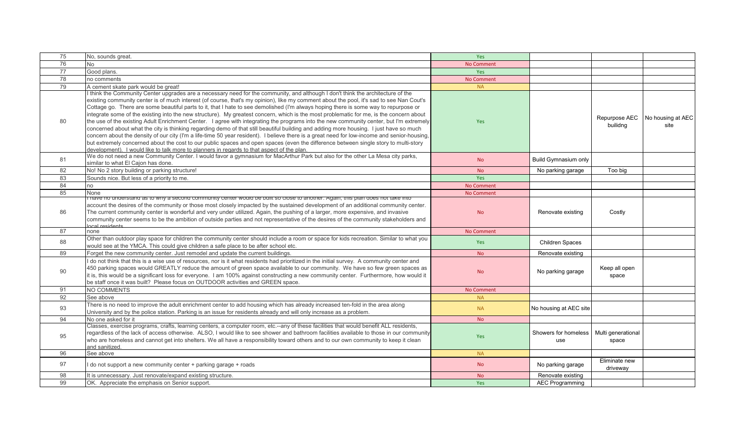| 75 | No, sounds great.                                                                                                                                                                                                                                                                                                                                                                                                                                                                                                                                                                                                                                                                                                                                                                                                                                                                                                                                                                                                                                                                                                                                                                                                                          | Yes               |                             |                             |                           |
|----|--------------------------------------------------------------------------------------------------------------------------------------------------------------------------------------------------------------------------------------------------------------------------------------------------------------------------------------------------------------------------------------------------------------------------------------------------------------------------------------------------------------------------------------------------------------------------------------------------------------------------------------------------------------------------------------------------------------------------------------------------------------------------------------------------------------------------------------------------------------------------------------------------------------------------------------------------------------------------------------------------------------------------------------------------------------------------------------------------------------------------------------------------------------------------------------------------------------------------------------------|-------------------|-----------------------------|-----------------------------|---------------------------|
| 76 | <b>No</b>                                                                                                                                                                                                                                                                                                                                                                                                                                                                                                                                                                                                                                                                                                                                                                                                                                                                                                                                                                                                                                                                                                                                                                                                                                  | <b>No Comment</b> |                             |                             |                           |
| 77 | Good plans.                                                                                                                                                                                                                                                                                                                                                                                                                                                                                                                                                                                                                                                                                                                                                                                                                                                                                                                                                                                                                                                                                                                                                                                                                                | Yes               |                             |                             |                           |
| 78 | no comments                                                                                                                                                                                                                                                                                                                                                                                                                                                                                                                                                                                                                                                                                                                                                                                                                                                                                                                                                                                                                                                                                                                                                                                                                                | No Comment        |                             |                             |                           |
| 79 | A cement skate park would be great!                                                                                                                                                                                                                                                                                                                                                                                                                                                                                                                                                                                                                                                                                                                                                                                                                                                                                                                                                                                                                                                                                                                                                                                                        | <b>NA</b>         |                             |                             |                           |
| 80 | I think the Community Center upgrades are a necessary need for the community, and although I don't think the architecture of the<br>existing community center is of much interest (of course, that's my opinion), like my comment about the pool, it's sad to see Nan Cout's<br>Cottage go. There are some beautiful parts to it, that I hate to see demolished (I'm always hoping there is some way to repurpose or<br>integrate some of the existing into the new structure). My greatest concern, which is the most problematic for me, is the concern about<br>the use of the existing Adult Enrichment Center. I agree with integrating the programs into the new community center, but I'm extremely<br>concerned about what the city is thinking regarding demo of that still beautiful building and adding more housing. I just have so much<br>concern about the density of our city (I'm a life-time 50 year resident). I believe there is a great need for low-income and senior-housing,<br>but extremely concerned about the cost to our public spaces and open spaces (even the difference between single story to multi-story<br>development). I would like to talk more to planners in regards to that aspect of the plan. | Yes               |                             | Repurpose AEC<br>builidng   | No housing at AEC<br>site |
| 81 | We do not need a new Community Center. I would favor a gymnasium for MacArthur Park but also for the other La Mesa city parks,<br>similar to what El Cajon has done.                                                                                                                                                                                                                                                                                                                                                                                                                                                                                                                                                                                                                                                                                                                                                                                                                                                                                                                                                                                                                                                                       | <b>No</b>         | <b>Build Gymnasium only</b> |                             |                           |
| 82 | No! No 2 story building or parking structure!                                                                                                                                                                                                                                                                                                                                                                                                                                                                                                                                                                                                                                                                                                                                                                                                                                                                                                                                                                                                                                                                                                                                                                                              | <b>No</b>         | No parking garage           | Too big                     |                           |
| 83 | Sounds nice. But less of a priority to me.                                                                                                                                                                                                                                                                                                                                                                                                                                                                                                                                                                                                                                                                                                                                                                                                                                                                                                                                                                                                                                                                                                                                                                                                 | Yes               |                             |                             |                           |
| 84 | no                                                                                                                                                                                                                                                                                                                                                                                                                                                                                                                                                                                                                                                                                                                                                                                                                                                                                                                                                                                                                                                                                                                                                                                                                                         | No Comment        |                             |                             |                           |
| 85 | None                                                                                                                                                                                                                                                                                                                                                                                                                                                                                                                                                                                                                                                                                                                                                                                                                                                                                                                                                                                                                                                                                                                                                                                                                                       | <b>No Comment</b> |                             |                             |                           |
| 86 | have no understand as to why a second community center would be built so close to another. Again, this plan does not take into<br>account the desires of the community or those most closely impacted by the sustained development of an additional community center.<br>The current community center is wonderful and very under utilized. Again, the pushing of a larger, more expensive, and invasive<br>community center seems to be the ambition of outside parties and not representative of the desires of the community stakeholders and<br>anal residente                                                                                                                                                                                                                                                                                                                                                                                                                                                                                                                                                                                                                                                                         | <b>No</b>         | Renovate existing           | Costly                      |                           |
| 87 | none                                                                                                                                                                                                                                                                                                                                                                                                                                                                                                                                                                                                                                                                                                                                                                                                                                                                                                                                                                                                                                                                                                                                                                                                                                       | <b>No Comment</b> |                             |                             |                           |
| 88 | Other than outdoor play space for children the community center should include a room or space for kids recreation. Similar to what you<br>would see at the YMCA. This could give children a safe place to be after school etc.                                                                                                                                                                                                                                                                                                                                                                                                                                                                                                                                                                                                                                                                                                                                                                                                                                                                                                                                                                                                            | Yes               | <b>Children Spaces</b>      |                             |                           |
| 89 | Forget the new community center. Just remodel and update the current buildings.                                                                                                                                                                                                                                                                                                                                                                                                                                                                                                                                                                                                                                                                                                                                                                                                                                                                                                                                                                                                                                                                                                                                                            | <b>No</b>         | Renovate existing           |                             |                           |
| 90 | I do not think that this is a wise use of resources, nor is it what residents had prioritized in the initial survey. A community center and<br>450 parking spaces would GREATLY reduce the amount of green space available to our community. We have so few green spaces as<br>it is, this would be a significant loss for everyone. I am 100% against constructing a new community center. Furthermore, how would it<br>be staff once it was built? Please focus on OUTDOOR activities and GREEN space.                                                                                                                                                                                                                                                                                                                                                                                                                                                                                                                                                                                                                                                                                                                                   | <b>No</b>         | No parking garage           | Keep all open<br>space      |                           |
| 91 | NO COMMENTS                                                                                                                                                                                                                                                                                                                                                                                                                                                                                                                                                                                                                                                                                                                                                                                                                                                                                                                                                                                                                                                                                                                                                                                                                                | No Comment        |                             |                             |                           |
| 92 | See above                                                                                                                                                                                                                                                                                                                                                                                                                                                                                                                                                                                                                                                                                                                                                                                                                                                                                                                                                                                                                                                                                                                                                                                                                                  | <b>NA</b>         |                             |                             |                           |
| 93 | There is no need to improve the adult enrichment center to add housing which has already increased ten-fold in the area along<br>University and by the police station. Parking is an issue for residents already and will only increase as a problem.                                                                                                                                                                                                                                                                                                                                                                                                                                                                                                                                                                                                                                                                                                                                                                                                                                                                                                                                                                                      | <b>NA</b>         | No housing at AEC site      |                             |                           |
| 94 | No one asked for it                                                                                                                                                                                                                                                                                                                                                                                                                                                                                                                                                                                                                                                                                                                                                                                                                                                                                                                                                                                                                                                                                                                                                                                                                        | <b>No</b>         |                             |                             |                           |
| 95 | Classes, exercise programs, crafts, learning centers, a computer room, etc.--any of these facilities that would benefit ALL residents,<br>regardless of the lack of access otherwise. ALSO, I would like to see shower and bathroom facilities available to those in our community<br>who are homeless and cannot get into shelters. We all have a responsibility toward others and to our own community to keep it clean<br>and sanitized.                                                                                                                                                                                                                                                                                                                                                                                                                                                                                                                                                                                                                                                                                                                                                                                                | Yes               | Showers for homeless<br>use | Multi generational<br>space |                           |
| 96 | See above                                                                                                                                                                                                                                                                                                                                                                                                                                                                                                                                                                                                                                                                                                                                                                                                                                                                                                                                                                                                                                                                                                                                                                                                                                  | <b>NA</b>         |                             |                             |                           |
| 97 | I do not support a new community center + parking garage + roads                                                                                                                                                                                                                                                                                                                                                                                                                                                                                                                                                                                                                                                                                                                                                                                                                                                                                                                                                                                                                                                                                                                                                                           | <b>No</b>         | No parking garage           | Eliminate new<br>driveway   |                           |
| 98 | It is unnecessary. Just renovate/expand existing structure.                                                                                                                                                                                                                                                                                                                                                                                                                                                                                                                                                                                                                                                                                                                                                                                                                                                                                                                                                                                                                                                                                                                                                                                | <b>No</b>         | Renovate existing           |                             |                           |
| 99 | OK. Appreciate the emphasis on Senior support.                                                                                                                                                                                                                                                                                                                                                                                                                                                                                                                                                                                                                                                                                                                                                                                                                                                                                                                                                                                                                                                                                                                                                                                             | Yes               | <b>AEC Programming</b>      |                             |                           |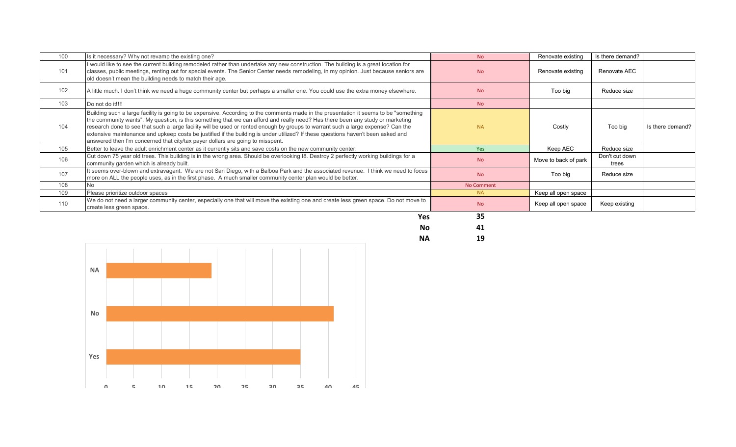| 100 | Is it necessary? Why not revamp the existing one?                                                                                                                                                                                                                                                                                                                                                                                                                                                                                                                                                                                 | N <sub>o</sub>    | Renovate existing    | Is there demand?        |                  |
|-----|-----------------------------------------------------------------------------------------------------------------------------------------------------------------------------------------------------------------------------------------------------------------------------------------------------------------------------------------------------------------------------------------------------------------------------------------------------------------------------------------------------------------------------------------------------------------------------------------------------------------------------------|-------------------|----------------------|-------------------------|------------------|
| 101 | I would like to see the current building remodeled rather than undertake any new construction. The building is a great location for<br>classes, public meetings, renting out for special events. The Senior Center needs remodeling, in my opinion. Just because seniors are<br>old doesn't mean the building needs to match their age.                                                                                                                                                                                                                                                                                           | <b>No</b>         | Renovate existing    | Renovate AEC            |                  |
| 102 | A little much. I don't think we need a huge community center but perhaps a smaller one. You could use the extra money elsewhere.                                                                                                                                                                                                                                                                                                                                                                                                                                                                                                  | <b>No</b>         | Too big              | Reduce size             |                  |
| 103 | Do not do it!!!!                                                                                                                                                                                                                                                                                                                                                                                                                                                                                                                                                                                                                  | <b>No</b>         |                      |                         |                  |
| 104 | Building such a large facility is going to be expensive. According to the comments made in the presentation it seems to be "something<br>the community wants". My question, is this something that we can afford and really need? Has there been any study or marketing<br>research done to see that such a large facility will be used or rented enough by groups to warrant such a large expense? Can the<br>extensive maintenance and upkeep costs be justified if the building is under utilized? If these questions haven't been asked and<br>answered then I'm concerned that city/tax payer dollars are going to misspent. | <b>NA</b>         | Costly               | Too big                 | Is there demand? |
| 105 | Better to leave the adult enrichment center as it currently sits and save costs on the new community center.                                                                                                                                                                                                                                                                                                                                                                                                                                                                                                                      | <b>Yes</b>        | Keep AEC             | Reduce size             |                  |
| 106 | Cut down 75 year old trees. This building is in the wrong area. Should be overlooking 18. Destroy 2 perfectly working buildings for a<br>community garden which is already built.                                                                                                                                                                                                                                                                                                                                                                                                                                                 | <b>No</b>         | Move to back of park | Don't cut down<br>trees |                  |
| 107 | It seems over-blown and extravagant. We are not San Diego, with a Balboa Park and the associated revenue. I think we need to focus<br>more on ALL the people uses, as in the first phase. A much smaller community center plan would be better.                                                                                                                                                                                                                                                                                                                                                                                   | <b>No</b>         | Too big              | Reduce size             |                  |
| 108 | No                                                                                                                                                                                                                                                                                                                                                                                                                                                                                                                                                                                                                                | <b>No Comment</b> |                      |                         |                  |
| 109 | Please prioritize outdoor spaces                                                                                                                                                                                                                                                                                                                                                                                                                                                                                                                                                                                                  | <b>NA</b>         | Keep all open space  |                         |                  |
| 110 | We do not need a larger community center, especially one that will move the existing one and create less green space. Do not move to<br>create less green space.                                                                                                                                                                                                                                                                                                                                                                                                                                                                  | <b>No</b>         | Keep all open space  | Keep existing           |                  |
|     | <b>Voc</b>                                                                                                                                                                                                                                                                                                                                                                                                                                                                                                                                                                                                                        | 25                |                      |                         |                  |



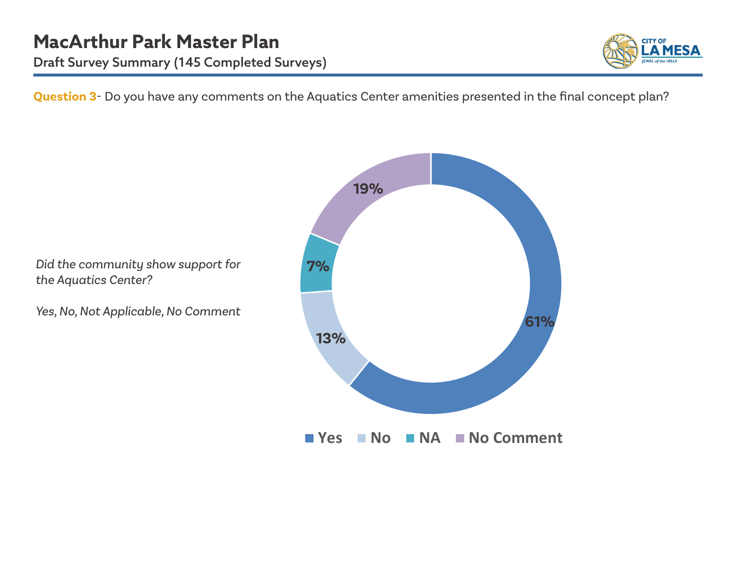

**Question 3**- Do you have any comments on the Aquatics Center amenities presented in the final concept plan?

**7% 13% 61% 19%**

■ Yes ■ No ■ NA ■ No Comment

*Did the community show support for the Aquatics Center?* 

*Yes, No, Not Applicable, No Comment*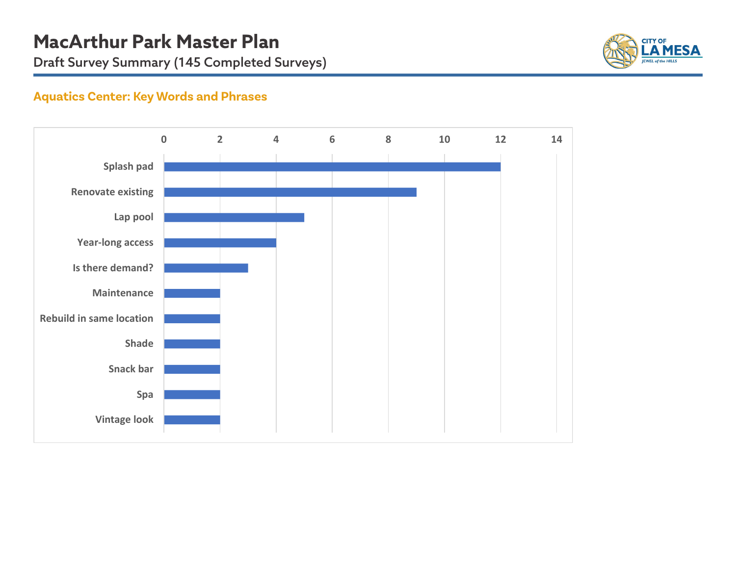

# **Aquatics Center: Key Words and Phrases**

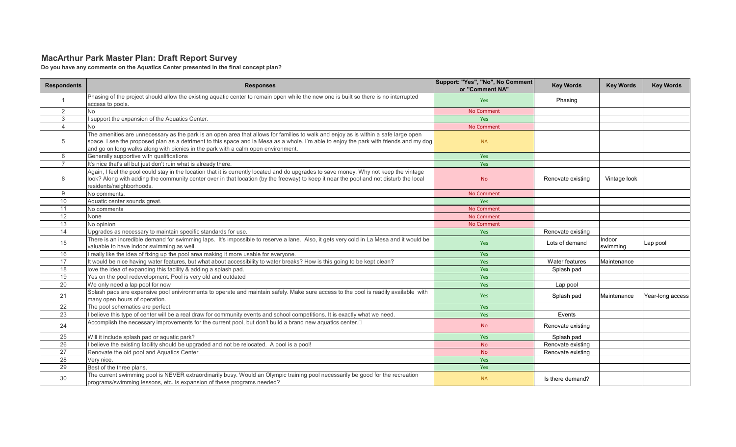### **MacArthur Park Master Plan: Draft Report Survey**

**Do you have any comments on the Aquatics Center presented in the final concept plan?**

| <b>Respondents</b> | <b>Responses</b>                                                                                                                                                                                                                                                                                                                                                   | Support: "Yes", "No", No Comment<br>or "Comment NA" | <b>Key Words</b>  | <b>Key Words</b>   | <b>Key Words</b> |
|--------------------|--------------------------------------------------------------------------------------------------------------------------------------------------------------------------------------------------------------------------------------------------------------------------------------------------------------------------------------------------------------------|-----------------------------------------------------|-------------------|--------------------|------------------|
|                    | Phasing of the project should allow the existing aguatic center to remain open while the new one is built so there is no interrupted<br>access to pools.                                                                                                                                                                                                           | <b>Yes</b>                                          | Phasing           |                    |                  |
| $\overline{2}$     | <b>No</b>                                                                                                                                                                                                                                                                                                                                                          | <b>No Comment</b>                                   |                   |                    |                  |
| 3                  | I support the expansion of the Aquatics Center.                                                                                                                                                                                                                                                                                                                    | Yes                                                 |                   |                    |                  |
| $\Delta$           | No                                                                                                                                                                                                                                                                                                                                                                 | <b>No Comment</b>                                   |                   |                    |                  |
| 5                  | The amenities are unnecessary as the park is an open area that allows for families to walk and enjoy as is within a safe large open<br>space. I see the proposed plan as a detriment to this space and la Mesa as a whole. I'm able to enjoy the park with friends and my dog<br>and go on long walks along with picnics in the park with a calm open environment. | <b>NA</b>                                           |                   |                    |                  |
| 6                  | Generally supportive with qualifications                                                                                                                                                                                                                                                                                                                           | Yes                                                 |                   |                    |                  |
| $\overline{7}$     | It's nice that's all but just don't ruin what is already there.                                                                                                                                                                                                                                                                                                    | Yes                                                 |                   |                    |                  |
| 8                  | Again, I feel the pool could stay in the location that it is currently located and do upgrades to save money. Why not keep the vintage<br>look? Along with adding the community center over in that location (by the freeway) to keep it near the pool and not disturb the local<br>residents/neighborhoods.                                                       | <b>No</b>                                           | Renovate existing | Vintage look       |                  |
| 9                  | No comments.                                                                                                                                                                                                                                                                                                                                                       | <b>No Comment</b>                                   |                   |                    |                  |
| 10                 | Aquatic center sounds great.                                                                                                                                                                                                                                                                                                                                       | Yes                                                 |                   |                    |                  |
| 11                 | No comments                                                                                                                                                                                                                                                                                                                                                        | <b>No Comment</b>                                   |                   |                    |                  |
| 12                 | None                                                                                                                                                                                                                                                                                                                                                               | <b>No Comment</b>                                   |                   |                    |                  |
| 13                 | No opinion                                                                                                                                                                                                                                                                                                                                                         | <b>No Comment</b>                                   |                   |                    |                  |
| 14                 | Upgrades as necessary to maintain specific standards for use.                                                                                                                                                                                                                                                                                                      | Yes                                                 | Renovate existing |                    |                  |
| 15                 | There is an incredible demand for swimming laps. It's impossible to reserve a lane. Also, it gets very cold in La Mesa and it would be<br>valuable to have indoor swimming as well.                                                                                                                                                                                | Yes                                                 | Lots of demand    | Indoor<br>swimming | Lap pool         |
| 16                 | I really like the idea of fixing up the pool area making it more usable for everyone.                                                                                                                                                                                                                                                                              | Yes                                                 |                   |                    |                  |
| 17                 | It would be nice having water features, but what about accessibility to water breaks? How is this going to be kept clean?                                                                                                                                                                                                                                          | Yes                                                 | Water features    | Maintenance        |                  |
| 18                 | love the idea of expanding this facility & adding a splash pad.                                                                                                                                                                                                                                                                                                    | Yes                                                 | Splash pad        |                    |                  |
| 19                 | Yes on the pool redevelopment. Pool is very old and outdated                                                                                                                                                                                                                                                                                                       | Yes                                                 |                   |                    |                  |
| 20                 | We only need a lap pool for now                                                                                                                                                                                                                                                                                                                                    | Yes                                                 | Lap pool          |                    |                  |
| 21                 | Splash pads are expensive pool enivironments to operate and maintain safely. Make sure access to the pool is readily available with<br>many open hours of operation.                                                                                                                                                                                               | Yes                                                 | Splash pad        | Maintenance        | Year-long access |
| 22                 | The pool schematics are perfect.                                                                                                                                                                                                                                                                                                                                   | Yes                                                 |                   |                    |                  |
| 23                 | I believe this type of center will be a real draw for community events and school competitions. It is exactly what we need.                                                                                                                                                                                                                                        | Yes                                                 | Events            |                    |                  |
| 24                 | Accomplish the necessary improvements for the current pool, but don't build a brand new aquatics center.□                                                                                                                                                                                                                                                          | <b>No</b>                                           | Renovate existing |                    |                  |
| 25                 | Will it include splash pad or aquatic park?                                                                                                                                                                                                                                                                                                                        | <b>Yes</b>                                          | Splash pad        |                    |                  |
| 26                 | I believe the existing facility should be upgraded and not be relocated. A pool is a pool!                                                                                                                                                                                                                                                                         | <b>No</b>                                           | Renovate existing |                    |                  |
| 27                 | Renovate the old pool and Aquatics Center.                                                                                                                                                                                                                                                                                                                         | <b>No</b>                                           | Renovate existing |                    |                  |
| 28                 | Very nice.                                                                                                                                                                                                                                                                                                                                                         | Yes                                                 |                   |                    |                  |
| 29                 | Best of the three plans.                                                                                                                                                                                                                                                                                                                                           | Yes                                                 |                   |                    |                  |
| 30                 | The current swimming pool is NEVER extraordinarily busy. Would an Olympic training pool necessarily be good for the recreation<br>programs/swimming lessons, etc. Is expansion of these programs needed?                                                                                                                                                           | <b>NA</b>                                           | Is there demand?  |                    |                  |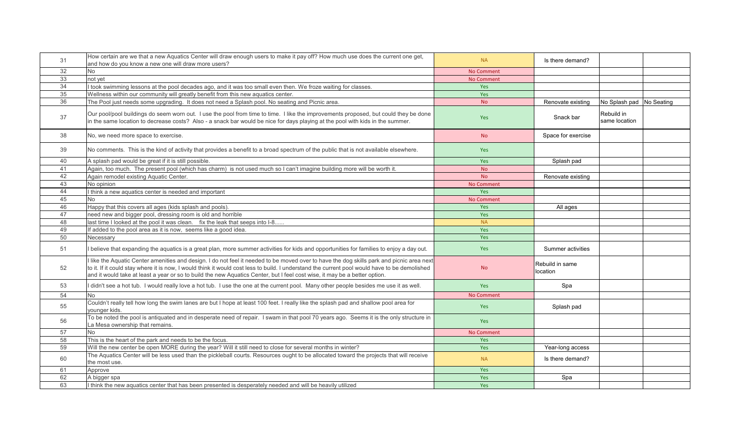| 31 | How certain are we that a new Aquatics Center will draw enough users to make it pay off? How much use does the current one get,<br>and how do you know a new one will draw more users?                                                                                                                                                                                                                                   | <b>NA</b>         | Is there demand?            |                             |  |
|----|--------------------------------------------------------------------------------------------------------------------------------------------------------------------------------------------------------------------------------------------------------------------------------------------------------------------------------------------------------------------------------------------------------------------------|-------------------|-----------------------------|-----------------------------|--|
| 32 | <b>No</b>                                                                                                                                                                                                                                                                                                                                                                                                                | <b>No Comment</b> |                             |                             |  |
| 33 | not yet                                                                                                                                                                                                                                                                                                                                                                                                                  | <b>No Comment</b> |                             |                             |  |
| 34 | I took swimming lessons at the pool decades ago, and it was too small even then. We froze waiting for classes.                                                                                                                                                                                                                                                                                                           | Yes               |                             |                             |  |
| 35 | Wellness within our community will greatly benefit from this new aquatics center.                                                                                                                                                                                                                                                                                                                                        | Yes               |                             |                             |  |
| 36 | The Pool just needs some upgrading. It does not need a Splash pool. No seating and Picnic area.                                                                                                                                                                                                                                                                                                                          | <b>No</b>         | Renovate existing           | No Splash pad No Seating    |  |
| 37 | Our pool/pool buildings do seem worn out. I use the pool from time to time. I like the improvements proposed, but could they be done<br>in the same location to decrease costs? Also - a snack bar would be nice for days playing at the pool with kids in the summer.                                                                                                                                                   | <b>Yes</b>        | Snack bar                   | Rebuild in<br>same location |  |
| 38 | No, we need more space to exercise.                                                                                                                                                                                                                                                                                                                                                                                      | <b>No</b>         | Space for exercise          |                             |  |
| 39 | No comments. This is the kind of activity that provides a benefit to a broad spectrum of the public that is not available elsewhere.                                                                                                                                                                                                                                                                                     | Yes               |                             |                             |  |
| 40 | A splash pad would be great if it is still possible.                                                                                                                                                                                                                                                                                                                                                                     | Yes               | Splash pad                  |                             |  |
| 41 | Again, too much. The present pool (which has charm) is not used much so I can't imagine building more will be worth it.                                                                                                                                                                                                                                                                                                  | <b>No</b>         |                             |                             |  |
| 42 | Again remodel existing Aquatic Center.                                                                                                                                                                                                                                                                                                                                                                                   | <b>No</b>         | Renovate existing           |                             |  |
| 43 | No opinion                                                                                                                                                                                                                                                                                                                                                                                                               | <b>No Comment</b> |                             |                             |  |
| 44 | I think a new aquatics center is needed and important                                                                                                                                                                                                                                                                                                                                                                    | Yes               |                             |                             |  |
| 45 | <b>No</b>                                                                                                                                                                                                                                                                                                                                                                                                                | No Comment        |                             |                             |  |
| 46 | Happy that this covers all ages (kids splash and pools).                                                                                                                                                                                                                                                                                                                                                                 | <b>Yes</b>        | All ages                    |                             |  |
| 47 | need new and bigger pool, dressing room is old and horrible                                                                                                                                                                                                                                                                                                                                                              | Yes               |                             |                             |  |
| 48 | last time I looked at the pool it was clean. fix the leak that seeps into I-8                                                                                                                                                                                                                                                                                                                                            | <b>NA</b>         |                             |                             |  |
| 49 | If added to the pool area as it is now, seems like a good idea.                                                                                                                                                                                                                                                                                                                                                          | Yes               |                             |                             |  |
| 50 | Necessarv                                                                                                                                                                                                                                                                                                                                                                                                                | Yes               |                             |                             |  |
| 51 | I believe that expanding the aquatics is a great plan, more summer activities for kids and opportunities for families to enjoy a day out.                                                                                                                                                                                                                                                                                | Yes               | Summer activities           |                             |  |
| 52 | I like the Aquatic Center amenities and design. I do not feel it needed to be moved over to have the dog skills park and picnic area next<br>to it. If it could stay where it is now, I would think it would cost less to build. I understand the current pool would have to be demolished<br>and it would take at least a year or so to build the new Aquatics Center, but I feel cost wise, it may be a better option. | <b>No</b>         | Rebuild in same<br>location |                             |  |
| 53 | I didn't see a hot tub. I would really love a hot tub. I use the one at the current pool. Many other people besides me use it as well.                                                                                                                                                                                                                                                                                   | <b>Yes</b>        | Spa                         |                             |  |
| 54 | <b>No</b>                                                                                                                                                                                                                                                                                                                                                                                                                | <b>No Comment</b> |                             |                             |  |
| 55 | Couldn't really tell how long the swim lanes are but I hope at least 100 feet. I really like the splash pad and shallow pool area for<br>younger kids.                                                                                                                                                                                                                                                                   | <b>Yes</b>        | Splash pad                  |                             |  |
| 56 | To be noted the pool is antiquated and in desperate need of repair. I swam in that pool 70 years ago. Seems it is the only structure in<br>La Mesa ownership that remains.                                                                                                                                                                                                                                               | Yes               |                             |                             |  |
| 57 | <b>No</b>                                                                                                                                                                                                                                                                                                                                                                                                                | <b>No Comment</b> |                             |                             |  |
| 58 | This is the heart of the park and needs to be the focus.                                                                                                                                                                                                                                                                                                                                                                 | Yes               |                             |                             |  |
| 59 | Will the new center be open MORE during the year? Will it still need to close for several months in winter?                                                                                                                                                                                                                                                                                                              | Yes               | Year-long access            |                             |  |
| 60 | The Aquatics Center will be less used than the pickleball courts. Resources ought to be allocated toward the projects that will receive<br>the most use.                                                                                                                                                                                                                                                                 | <b>NA</b>         | Is there demand?            |                             |  |
| 61 | Approve                                                                                                                                                                                                                                                                                                                                                                                                                  | Yes               |                             |                             |  |
| 62 | A bigger spa                                                                                                                                                                                                                                                                                                                                                                                                             | Yes               | Spa                         |                             |  |
| 63 | I think the new aguatics center that has been presented is desperately needed and will be heavily utilized                                                                                                                                                                                                                                                                                                               | <b>Yes</b>        |                             |                             |  |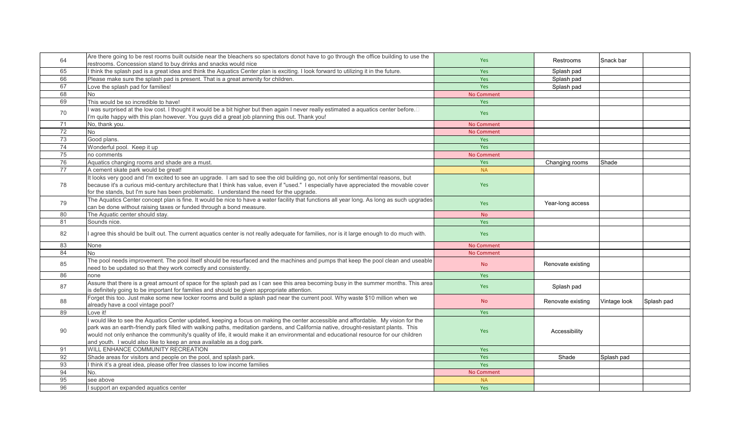| 64 | Are there going to be rest rooms built outside near the bleachers so spectators donot have to go through the office building to use the<br>restrooms. Concession stand to buy drinks and snacks would nice                                                                                                                                                                                                                                                                                 | Yes               | Restrooms         | Snack bar    |            |
|----|--------------------------------------------------------------------------------------------------------------------------------------------------------------------------------------------------------------------------------------------------------------------------------------------------------------------------------------------------------------------------------------------------------------------------------------------------------------------------------------------|-------------------|-------------------|--------------|------------|
| 65 | I think the splash pad is a great idea and think the Aquatics Center plan is exciting. I look forward to utilizing it in the future.                                                                                                                                                                                                                                                                                                                                                       | Yes               | Splash pad        |              |            |
| 66 | Please make sure the splash pad is present. That is a great amenity for children.                                                                                                                                                                                                                                                                                                                                                                                                          | Yes               | Splash pad        |              |            |
| 67 | Love the splash pad for families!                                                                                                                                                                                                                                                                                                                                                                                                                                                          | Yes               | Splash pad        |              |            |
| 68 | <b>No</b>                                                                                                                                                                                                                                                                                                                                                                                                                                                                                  | No Comment        |                   |              |            |
| 69 | This would be so incredible to have!                                                                                                                                                                                                                                                                                                                                                                                                                                                       | <b>Yes</b>        |                   |              |            |
| 70 | I was surprised at the low cost. I thought it would be a bit higher but then again I never really estimated a aquatics center before. $\Box$<br>I'm quite happy with this plan however. You guys did a great job planning this out. Thank you!                                                                                                                                                                                                                                             | Yes               |                   |              |            |
| 71 | No, thank you.                                                                                                                                                                                                                                                                                                                                                                                                                                                                             | <b>No Comment</b> |                   |              |            |
| 72 | No                                                                                                                                                                                                                                                                                                                                                                                                                                                                                         | <b>No Comment</b> |                   |              |            |
| 73 | Good plans.                                                                                                                                                                                                                                                                                                                                                                                                                                                                                | Yes               |                   |              |            |
| 74 | Wonderful pool. Keep it up                                                                                                                                                                                                                                                                                                                                                                                                                                                                 | <b>Yes</b>        |                   |              |            |
| 75 | no comments                                                                                                                                                                                                                                                                                                                                                                                                                                                                                | <b>No Comment</b> |                   |              |            |
| 76 | Aquatics changing rooms and shade are a must.                                                                                                                                                                                                                                                                                                                                                                                                                                              | Yes               | Changing rooms    | Shade        |            |
| 77 | A cement skate park would be great!                                                                                                                                                                                                                                                                                                                                                                                                                                                        | <b>NA</b>         |                   |              |            |
| 78 | It looks very good and I'm excited to see an upgrade. I am sad to see the old building go, not only for sentimental reasons, but<br>because it's a curious mid-century architecture that I think has value, even if "used." I especially have appreciated the movable cover<br>for the stands, but I'm sure has been problematic. I understand the need for the upgrade.                                                                                                                   | Yes               |                   |              |            |
| 79 | The Aquatics Center concept plan is fine. It would be nice to have a water facility that functions all year long. As long as such upgrades<br>can be done without raising taxes or funded through a bond measure.                                                                                                                                                                                                                                                                          | Yes               | Year-long access  |              |            |
| 80 | The Aquatic center should stay.                                                                                                                                                                                                                                                                                                                                                                                                                                                            | <b>No</b>         |                   |              |            |
| 81 | Sounds nice.                                                                                                                                                                                                                                                                                                                                                                                                                                                                               | Yes               |                   |              |            |
| 82 | I agree this should be built out. The current aquatics center is not really adequate for families, nor is it large enough to do much with.                                                                                                                                                                                                                                                                                                                                                 | <b>Yes</b>        |                   |              |            |
| 83 | None                                                                                                                                                                                                                                                                                                                                                                                                                                                                                       | <b>No Comment</b> |                   |              |            |
| 84 | <b>No</b>                                                                                                                                                                                                                                                                                                                                                                                                                                                                                  | <b>No Comment</b> |                   |              |            |
| 85 | The pool needs improvement. The pool itself should be resurfaced and the machines and pumps that keep the pool clean and useable<br>need to be updated so that they work correctly and consistently.                                                                                                                                                                                                                                                                                       | <b>No</b>         | Renovate existing |              |            |
| 86 | none                                                                                                                                                                                                                                                                                                                                                                                                                                                                                       | Yes               |                   |              |            |
| 87 | Assure that there is a great amount of space for the splash pad as I can see this area becoming busy in the summer months. This area<br>is definitely going to be important for families and should be given appropriate attention.                                                                                                                                                                                                                                                        | Yes               | Splash pad        |              |            |
| 88 | Forget this too. Just make some new locker rooms and build a splash pad near the current pool. Why waste \$10 million when we<br>already have a cool vintage pool?                                                                                                                                                                                                                                                                                                                         | <b>No</b>         | Renovate existing | Vintage look | Splash pad |
| 89 | Love it!                                                                                                                                                                                                                                                                                                                                                                                                                                                                                   | Yes               |                   |              |            |
| 90 | I would like to see the Aquatics Center updated, keeping a focus on making the center accessible and affordable. My vision for the<br>park was an earth-friendly park filled with walking paths, meditation gardens, and California native, drought-resistant plants. This<br>would not only enhance the community's quality of life, it would make it an environmental and educational resource for our children<br>and youth. I would also like to keep an area available as a dog park. | <b>Yes</b>        | Accessibility     |              |            |
| 91 | WILL ENHANCE COMMUNITY RECREATION                                                                                                                                                                                                                                                                                                                                                                                                                                                          | Yes               |                   |              |            |
| 92 | Shade areas for visitors and people on the pool, and splash park.                                                                                                                                                                                                                                                                                                                                                                                                                          | Yes               | Shade             | Splash pad   |            |
| 93 | I think it's a great idea, please offer free classes to low income families                                                                                                                                                                                                                                                                                                                                                                                                                | Yes               |                   |              |            |
| 94 | No.                                                                                                                                                                                                                                                                                                                                                                                                                                                                                        | No Comment        |                   |              |            |
| 95 | see above                                                                                                                                                                                                                                                                                                                                                                                                                                                                                  | <b>NA</b>         |                   |              |            |
| 96 | support an expanded aquatics center                                                                                                                                                                                                                                                                                                                                                                                                                                                        | Yes               |                   |              |            |